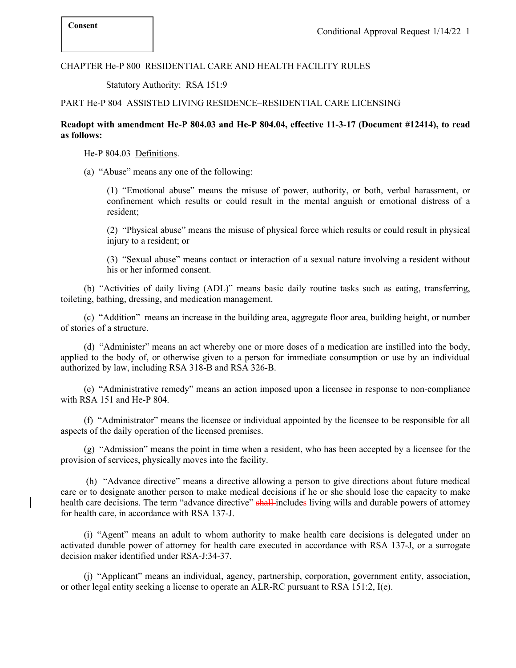CHAPTER He-P 800 RESIDENTIAL CARE AND HEALTH FACILITY RULES

Statutory Authority: RSA 151:9

### PART He-P 804 ASSISTED LIVING RESIDENCE–RESIDENTIAL CARE LICENSING

### **Readopt with amendment He-P 804.03 and He-P 804.04, effective 11-3-17 (Document #12414), to read as follows:**

He-P 804.03 Definitions.

(a) "Abuse" means any one of the following:

(1) "Emotional abuse" means the misuse of power, authority, or both, verbal harassment, or confinement which results or could result in the mental anguish or emotional distress of a resident;

(2) "Physical abuse" means the misuse of physical force which results or could result in physical injury to a resident; or

(3) "Sexual abuse" means contact or interaction of a sexual nature involving a resident without his or her informed consent.

 (b) "Activities of daily living (ADL)" means basic daily routine tasks such as eating, transferring, toileting, bathing, dressing, and medication management.

 (c) "Addition" means an increase in the building area, aggregate floor area, building height, or number of stories of a structure.

 (d) "Administer" means an act whereby one or more doses of a medication are instilled into the body, applied to the body of, or otherwise given to a person for immediate consumption or use by an individual authorized by law, including RSA 318-B and RSA 326-B.

 (e) "Administrative remedy" means an action imposed upon a licensee in response to non-compliance with RSA 151 and He-P 804.

 (f) "Administrator" means the licensee or individual appointed by the licensee to be responsible for all aspects of the daily operation of the licensed premises.

 (g) "Admission" means the point in time when a resident, who has been accepted by a licensee for the provision of services, physically moves into the facility.

(h) "Advance directive" means a directive allowing a person to give directions about future medical care or to designate another person to make medical decisions if he or she should lose the capacity to make health care decisions. The term "advance directive" shall-includes living wills and durable powers of attorney for health care, in accordance with RSA 137-J.

 (i) "Agent" means an adult to whom authority to make health care decisions is delegated under an activated durable power of attorney for health care executed in accordance with RSA 137-J, or a surrogate decision maker identified under RSA-J:34-37.

 (j) "Applicant" means an individual, agency, partnership, corporation, government entity, association, or other legal entity seeking a license to operate an ALR-RC pursuant to RSA 151:2, I(e).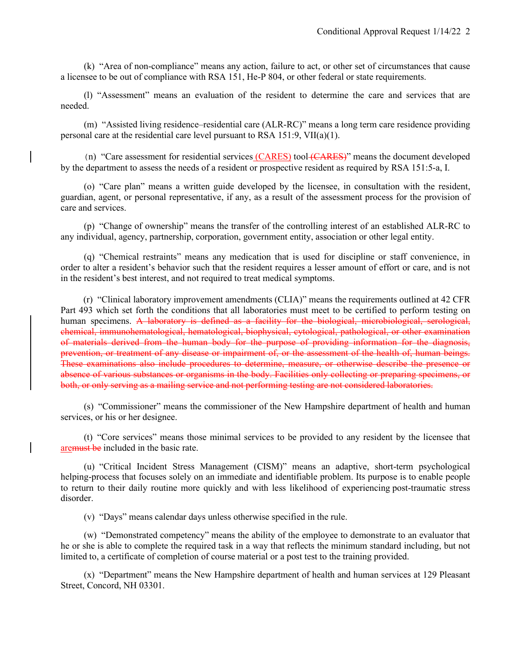(k) "Area of non-compliance" means any action, failure to act, or other set of circumstances that cause a licensee to be out of compliance with RSA 151, He-P 804, or other federal or state requirements.

 (l) "Assessment" means an evaluation of the resident to determine the care and services that are needed.

 (m) "Assisted living residence–residential care (ALR-RC)" means a long term care residence providing personal care at the residential care level pursuant to RSA 151:9, VII(a)(1).

(n) "Care assessment for residential services  $(CARES)$  tool  $(CARES)$ " means the document developed by the department to assess the needs of a resident or prospective resident as required by RSA 151:5-a, I.

 (o) "Care plan" means a written guide developed by the licensee, in consultation with the resident, guardian, agent, or personal representative, if any, as a result of the assessment process for the provision of care and services.

 (p) "Change of ownership" means the transfer of the controlling interest of an established ALR-RC to any individual, agency, partnership, corporation, government entity, association or other legal entity.

 (q) "Chemical restraints" means any medication that is used for discipline or staff convenience, in order to alter a resident's behavior such that the resident requires a lesser amount of effort or care, and is not in the resident's best interest, and not required to treat medical symptoms.

(r) "Clinical laboratory improvement amendments (CLIA)" means the requirements outlined at 42 CFR Part 493 which set forth the conditions that all laboratories must meet to be certified to perform testing on human specimens. A laboratory is defined as a facility for the biological, microbiological, serological, chemical, immunohematological, hematological, biophysical, cytological, pathological, or other examination of materials derived from the human body for the purpose of providing information for the diagnosis, prevention, or treatment of any disease or impairment of, or the assessment of the health of, human beings. These examinations also include procedures to determine, measure, or otherwise describe the presence or absence of various substances or organisms in the body. Facilities only collecting or preparing specimens, or both, or only serving as a mailing service and not performing testing are not considered laboratories.

 (s) "Commissioner" means the commissioner of the New Hampshire department of health and human services, or his or her designee.

 (t) "Core services" means those minimal services to be provided to any resident by the licensee that aremust be included in the basic rate.

 (u) "Critical Incident Stress Management (CISM)" means an adaptive, short-term psychological helping-process that focuses solely on an immediate and identifiable problem. Its purpose is to enable people to return to their daily routine more quickly and with less likelihood of experiencing [post-traumatic stress](https://en.wikipedia.org/wiki/Post-traumatic_stress_disorder)  [disorder.](https://en.wikipedia.org/wiki/Post-traumatic_stress_disorder)

(v) "Days" means calendar days unless otherwise specified in the rule.

 (w) "Demonstrated competency" means the ability of the employee to demonstrate to an evaluator that he or she is able to complete the required task in a way that reflects the minimum standard including, but not limited to, a certificate of completion of course material or a post test to the training provided.

 (x) "Department" means the New Hampshire department of health and human services at 129 Pleasant Street, Concord, NH 03301.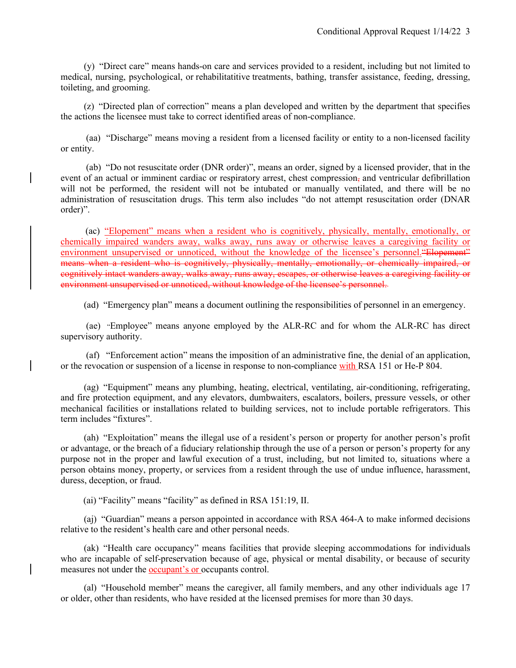(y) "Direct care" means hands-on care and services provided to a resident, including but not limited to medical, nursing, psychological, or rehabilitatitive treatments, bathing, transfer assistance, feeding, dressing, toileting, and grooming.

 (z) "Directed plan of correction" means a plan developed and written by the department that specifies the actions the licensee must take to correct identified areas of non-compliance.

(aa) "Discharge" means moving a resident from a licensed facility or entity to a non-licensed facility or entity.

(ab) "Do not resuscitate order (DNR order)", means an order, signed by a licensed provider, that in the event of an actual or imminent cardiac or respiratory arrest, chest compression, and ventricular defibrillation will not be performed, the resident will not be intubated or manually ventilated, and there will be no administration of resuscitation drugs. This term also includes "do not attempt resuscitation order (DNAR order)".

 (ac) "Elopement" means when a resident who is cognitively, physically, mentally, emotionally, or chemically impaired wanders away, walks away, runs away or otherwise leaves a caregiving facility or environment unsupervised or unnoticed, without the knowledge of the licensee's personnel. "Elopement" means when a resident who is cognitively, physically, mentally, emotionally, or chemically impaired, or cognitively intact wanders away, walks away, runs away, escapes, or otherwise leaves a caregiving facility or environment unsupervised or unnoticed, without knowledge of the licensee's personnel.

(ad) "Emergency plan" means a document outlining the responsibilities of personnel in an emergency.

(ae) "Employee" means anyone employed by the ALR-RC and for whom the ALR-RC has direct supervisory authority.

(af) "Enforcement action" means the imposition of an administrative fine, the denial of an application, or the revocation or suspension of a license in response to non-compliance with RSA 151 or He-P 804.

 (ag) "Equipment" means any plumbing, heating, electrical, ventilating, air-conditioning, refrigerating, and fire protection equipment, and any elevators, dumbwaiters, escalators, boilers, pressure vessels, or other mechanical facilities or installations related to building services, not to include portable refrigerators. This term includes "fixtures".

 (ah) "Exploitation" means the illegal use of a resident's person or property for another person's profit or advantage, or the breach of a fiduciary relationship through the use of a person or person's property for any purpose not in the proper and lawful execution of a trust, including, but not limited to, situations where a person obtains money, property, or services from a resident through the use of undue influence, harassment, duress, deception, or fraud.

(ai) "Facility" means "facility" as defined in RSA 151:19, II.

 (aj) "Guardian" means a person appointed in accordance with RSA 464-A to make informed decisions relative to the resident's health care and other personal needs.

 (ak) "Health care occupancy" means facilities that provide sleeping accommodations for individuals who are incapable of self-preservation because of age, physical or mental disability, or because of security measures not under the occupant's or occupants control.

 (al) "Household member" means the caregiver, all family members, and any other individuals age 17 or older, other than residents, who have resided at the licensed premises for more than 30 days.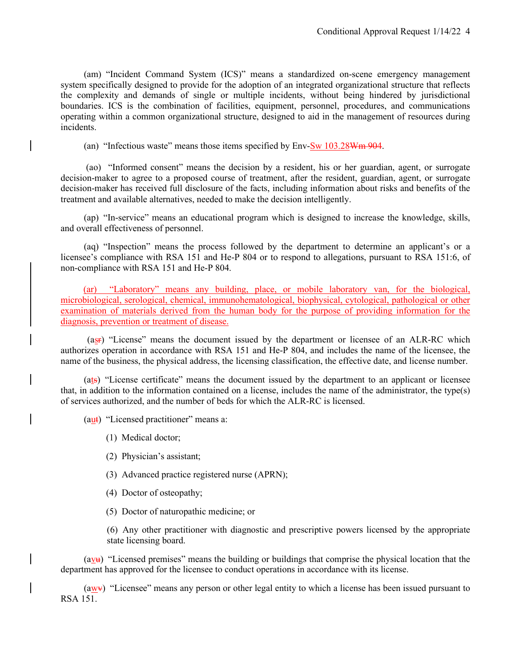(am) "Incident Command System (ICS)" means a standardized on-scene emergency management system specifically designed to provide for the adoption of an integrated organizational structure that reflects the complexity and demands of single or multiple incidents, without being hindered by jurisdictional boundaries. ICS is the combination of facilities, equipment, personnel, procedures, and communications operating within a common organizational structure, designed to aid in the management of resources during incidents.

(an) "Infectious waste" means those items specified by Env-Sw 103.28Wm 904.

(ao) "Informed consent" means the decision by a resident, his or her guardian, agent, or surrogate decision-maker to agree to a proposed course of treatment, after the resident, guardian, agent, or surrogate decision-maker has received full disclosure of the facts, including information about risks and benefits of the treatment and available alternatives, needed to make the decision intelligently.

 (ap) "In-service" means an educational program which is designed to increase the knowledge, skills, and overall effectiveness of personnel.

 (aq) "Inspection" means the process followed by the department to determine an applicant's or a licensee's compliance with RSA 151 and He-P 804 or to respond to allegations, pursuant to RSA 151:6, of non-compliance with RSA 151 and He-P 804.

(ar) "Laboratory" means any building, place, or mobile laboratory van, for the biological, microbiological, serological, chemical, immunohematological, biophysical, cytological, pathological or other examination of materials derived from the human body for the purpose of providing information for the diagnosis, prevention or treatment of disease.

(asr) "License" means the document issued by the department or licensee of an ALR-RC which authorizes operation in accordance with RSA 151 and He-P 804, and includes the name of the licensee, the name of the business, the physical address, the licensing classification, the effective date, and license number.

 (ats) "License certificate" means the document issued by the department to an applicant or licensee that, in addition to the information contained on a license, includes the name of the administrator, the type(s) of services authorized, and the number of beds for which the ALR-RC is licensed.

(aut) "Licensed practitioner" means a:

- (1) Medical doctor;
- (2) Physician's assistant;
- (3) Advanced practice registered nurse (APRN);
- (4) Doctor of osteopathy;
- (5) Doctor of naturopathic medicine; or

(6) Any other practitioner with diagnostic and prescriptive powers licensed by the appropriate state licensing board.

 $(av<sub>H</sub>)$  "Licensed premises" means the building or buildings that comprise the physical location that the department has approved for the licensee to conduct operations in accordance with its license.

 $(aw\psi)$  "Licensee" means any person or other legal entity to which a license has been issued pursuant to RSA 151.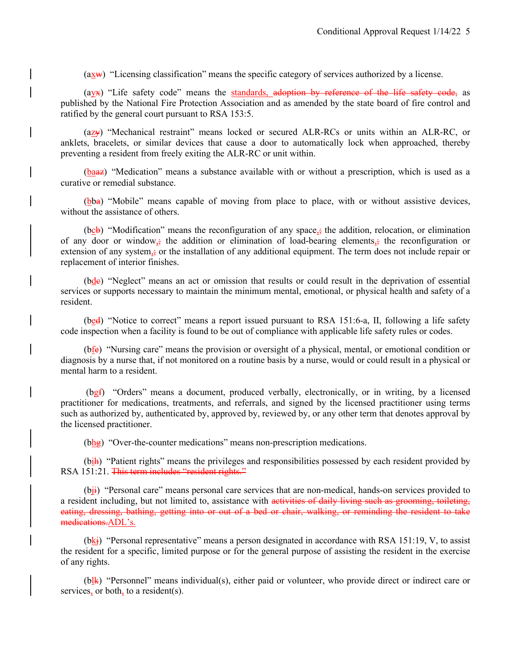$(axw)$  "Licensing classification" means the specific category of services authorized by a license.

 $(ayx)$  "Life safety code" means the standards, adoption by reference of the life safety code, as published by the National Fire Protection Association and as amended by the state board of fire control and ratified by the general court pursuant to RSA 153:5.

(azy) "Mechanical restraint" means locked or secured ALR-RCs or units within an ALR-RC, or anklets, bracelets, or similar devices that cause a door to automatically lock when approached, thereby preventing a resident from freely exiting the ALR-RC or unit within.

 (baaz) "Medication" means a substance available with or without a prescription, which is used as a curative or remedial substance.

 (bba) "Mobile" means capable of moving from place to place, with or without assistive devices, without the assistance of others.

(bcb) "Modification" means the reconfiguration of any space, $\frac{1}{2}$ ; the addition, relocation, or elimination of any door or window,; the addition or elimination of load-bearing elements,; the reconfiguration or extension of any system, or the installation of any additional equipment. The term does not include repair or replacement of interior finishes.

 (bdc) "Neglect" means an act or omission that results or could result in the deprivation of essential services or supports necessary to maintain the minimum mental, emotional, or physical health and safety of a resident.

 (bed) "Notice to correct" means a report issued pursuant to RSA 151:6-a, II, following a life safety code inspection when a facility is found to be out of compliance with applicable life safety rules or codes.

 (bfe) "Nursing care" means the provision or oversight of a physical, mental, or emotional condition or diagnosis by a nurse that, if not monitored on a routine basis by a nurse, would or could result in a physical or mental harm to a resident.

(bgf) "Orders" means a document, produced verbally, electronically, or in writing, by a licensed practitioner for medications, treatments, and referrals, and signed by the licensed practitioner using terms such as authorized by, authenticated by, approved by, reviewed by, or any other term that denotes approval by the licensed practitioner.

 $(bh\mathbf{e})$  "Over-the-counter medications" means non-prescription medications.

 (bih) "Patient rights" means the privileges and responsibilities possessed by each resident provided by RSA 151:21. This term includes "resident rights."

 $(b<sub>i</sub>)$  "Personal care" means personal care services that are non-medical, hands-on services provided to a resident including, but not limited to, assistance with activities of daily living such as grooming, toileting, eating, dressing, bathing, getting into or out of a bed or chair, walking, or reminding the resident to take medications.ADL's.

(bkj) "Personal representative" means a person designated in accordance with RSA 151:19, V, to assist the resident for a specific, limited purpose or for the general purpose of assisting the resident in the exercise of any rights.

 (blk) "Personnel" means individual(s), either paid or volunteer, who provide direct or indirect care or services, or both, to a resident(s).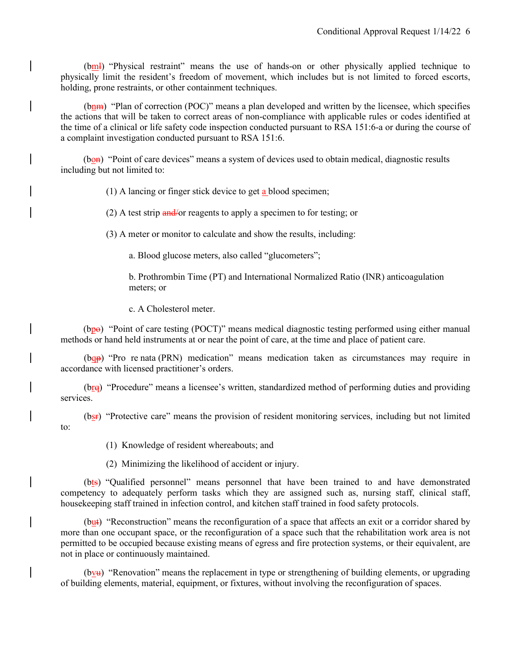(bml) "Physical restraint" means the use of hands-on or other physically applied technique to physically limit the resident's freedom of movement, which includes but is not limited to forced escorts, holding, prone restraints, or other containment techniques.

 (bnm) "Plan of correction (POC)" means a plan developed and written by the licensee, which specifies the actions that will be taken to correct areas of non-compliance with applicable rules or codes identified at the time of a clinical or life safety code inspection conducted pursuant to RSA 151:6-a or during the course of a complaint investigation conducted pursuant to RSA 151:6.

(bon) "Point of care devices" means a system of devices used to obtain medical, diagnostic results including but not limited to:

(1) A lancing or finger stick device to get a blood specimen;

(2) A test strip  $\frac{and}{or}$  reagents to apply a specimen to for testing; or

(3) A meter or monitor to calculate and show the results, including:

a. Blood glucose meters, also called "glucometers";

b. Prothrombin Time (PT) and International Normalized Ratio (INR) anticoagulation meters; or

c. A Cholesterol meter.

(bpe) "Point of care testing (POCT)" means medical diagnostic testing performed using either manual methods or hand held instruments at or near the point of care, at the time and place of patient care.

 (bqp) "Pro re nata (PRN) medication" means medication taken as circumstances may require in accordance with licensed practitioner's orders.

(bre) "Procedure" means a licensee's written, standardized method of performing duties and providing services.

 (bsr) "Protective care" means the provision of resident monitoring services, including but not limited to:

- (1) Knowledge of resident whereabouts; and
- (2) Minimizing the likelihood of accident or injury.

 (bts) "Qualified personnel" means personnel that have been trained to and have demonstrated competency to adequately perform tasks which they are assigned such as, nursing staff, clinical staff, housekeeping staff trained in infection control, and kitchen staff trained in food safety protocols.

 (but) "Reconstruction" means the reconfiguration of a space that affects an exit or a corridor shared by more than one occupant space, or the reconfiguration of a space such that the rehabilitation work area is not permitted to be occupied because existing means of egress and fire protection systems, or their equivalent, are not in place or continuously maintained.

 $(by)$  "Renovation" means the replacement in type or strengthening of building elements, or upgrading of building elements, material, equipment, or fixtures, without involving the reconfiguration of spaces.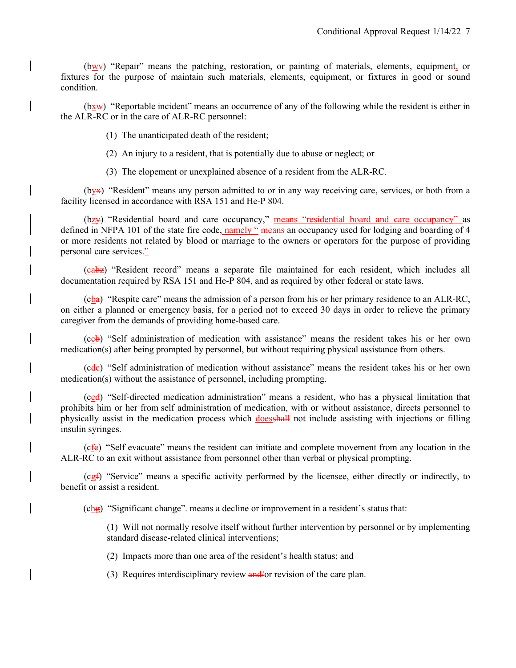(bwv) "Repair" means the patching, restoration, or painting of materials, elements, equipment, or fixtures for the purpose of maintain such materials, elements, equipment, or fixtures in good or sound condition.

 (bxw) "Reportable incident" means an occurrence of any of the following while the resident is either in the ALR-RC or in the care of ALR-RC personnel:

(1) The unanticipated death of the resident;

(2) An injury to a resident, that is potentially due to abuse or neglect; or

(3) The elopement or unexplained absence of a resident from the ALR-RC.

 $(by*)$  "Resident" means any person admitted to or in any way receiving care, services, or both from a facility licensed in accordance with RSA 151 and He-P 804.

 (bzy) "Residential board and care occupancy," means "residential board and care occupancy" as defined in NFPA 101 of the state fire code, namely "-means an occupancy used for lodging and boarding of 4 or more residents not related by blood or marriage to the owners or operators for the purpose of providing personal care services."

 (cabz) "Resident record" means a separate file maintained for each resident, which includes all documentation required by RSA 151 and He-P 804, and as required by other federal or state laws.

 $(c_{\text{a}})$  "Respite care" means the admission of a person from his or her primary residence to an ALR-RC, on either a planned or emergency basis, for a period not to exceed 30 days in order to relieve the primary caregiver from the demands of providing home-based care.

 (ccb) "Self administration of medication with assistance" means the resident takes his or her own medication(s) after being prompted by personnel, but without requiring physical assistance from others.

(cde) "Self administration of medication without assistance" means the resident takes his or her own medication(s) without the assistance of personnel, including prompting.

 (ced) "Self-directed medication administration" means a resident, who has a physical limitation that prohibits him or her from self administration of medication, with or without assistance, directs personnel to physically assist in the medication process which doesshall not include assisting with injections or filling insulin syringes.

 (cfe) "Self evacuate" means the resident can initiate and complete movement from any location in the ALR-RC to an exit without assistance from personnel other than verbal or physical prompting.

 $(cg\mathbf{f})$  "Service" means a specific activity performed by the licensee, either directly or indirectly, to benefit or assist a resident.

 $(c<sub>he</sub>)$  "Significant change". means a decline or improvement in a resident's status that:

(1) Will not normally resolve itself without further intervention by personnel or by implementing standard disease-related clinical interventions;

(2) Impacts more than one area of the resident's health status; and

(3) Requires interdisciplinary review and/or revision of the care plan.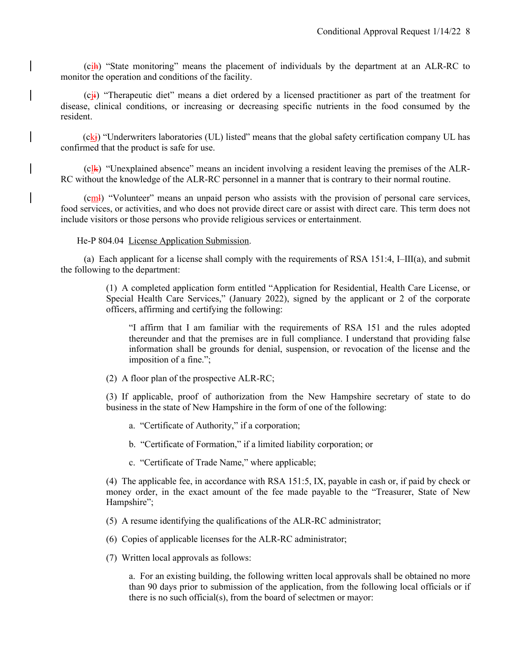(cih) "State monitoring" means the placement of individuals by the department at an ALR-RC to monitor the operation and conditions of the facility.

 $(c_i)$  "Therapeutic diet" means a diet ordered by a licensed practitioner as part of the treatment for disease, clinical conditions, or increasing or decreasing specific nutrients in the food consumed by the resident.

 $(ck<sub>i</sub>)$  "Underwriters laboratories (UL) listed" means that the global safety certification company UL has confirmed that the product is safe for use.

 $(c\mathbf{lk})$  "Unexplained absence" means an incident involving a resident leaving the premises of the ALR-RC without the knowledge of the ALR-RC personnel in a manner that is contrary to their normal routine.

 $(c_{\frac{m}{2}})$  "Volunteer" means an unpaid person who assists with the provision of personal care services, food services, or activities, and who does not provide direct care or assist with direct care. This term does not include visitors or those persons who provide religious services or entertainment.

He-P 804.04 License Application Submission.

 (a) Each applicant for a license shall comply with the requirements of RSA 151:4, I–III(a), and submit the following to the department:

> (1) A completed application form entitled "Application for Residential, Health Care License, or Special Health Care Services," (January 2022), signed by the applicant or 2 of the corporate officers, affirming and certifying the following:

"I affirm that I am familiar with the requirements of RSA 151 and the rules adopted thereunder and that the premises are in full compliance. I understand that providing false information shall be grounds for denial, suspension, or revocation of the license and the imposition of a fine.";

(2) A floor plan of the prospective ALR-RC;

(3) If applicable, proof of authorization from the New Hampshire secretary of state to do business in the state of New Hampshire in the form of one of the following:

- a. "Certificate of Authority," if a corporation;
- b. "Certificate of Formation," if a limited liability corporation; or
- c. "Certificate of Trade Name," where applicable;

(4) The applicable fee, in accordance with RSA 151:5, IX, payable in cash or, if paid by check or money order, in the exact amount of the fee made payable to the "Treasurer, State of New Hampshire";

(5) A resume identifying the qualifications of the ALR-RC administrator;

- (6) Copies of applicable licenses for the ALR-RC administrator;
- (7) Written local approvals as follows:

a. For an existing building, the following written local approvals shall be obtained no more than 90 days prior to submission of the application, from the following local officials or if there is no such official(s), from the board of selectmen or mayor: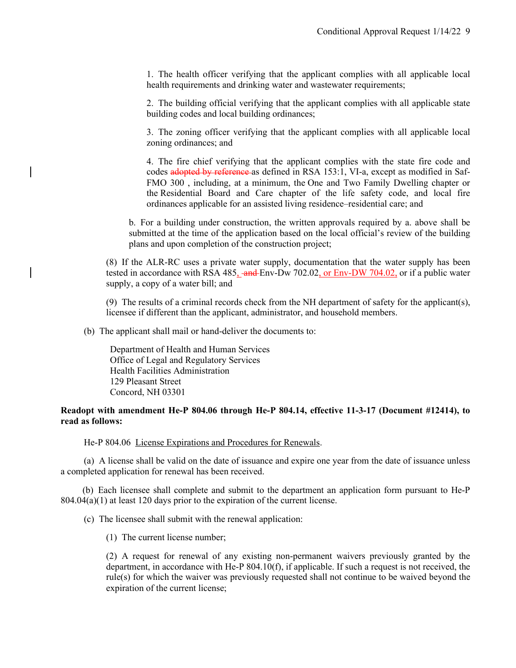1. The health officer verifying that the applicant complies with all applicable local health requirements and drinking water and wastewater requirements;

2. The building official verifying that the applicant complies with all applicable state building codes and local building ordinances;

3. The zoning officer verifying that the applicant complies with all applicable local zoning ordinances; and

4. The fire chief verifying that the applicant complies with the state fire code and codes adopted by reference as defined in RSA 153:1, VI-a, except as modified in Saf-FMO 300 , including, at a minimum, the One and Two Family Dwelling chapter or the Residential Board and Care chapter of the life safety code, and local fire ordinances applicable for an assisted living residence–residential care; and

b. For a building under construction, the written approvals required by a. above shall be submitted at the time of the application based on the local official's review of the building plans and upon completion of the construction project;

(8) If the ALR-RC uses a private water supply, documentation that the water supply has been tested in accordance with RSA 485, and Env-Dw 702.02, or Env-DW 704.02, or if a public water supply, a copy of a water bill; and

(9) The results of a criminal records check from the NH department of safety for the applicant(s), licensee if different than the applicant, administrator, and household members.

(b) The applicant shall mail or hand-deliver the documents to:

Department of Health and Human Services Office of Legal and Regulatory Services Health Facilities Administration 129 Pleasant Street Concord, NH 03301

## **Readopt with amendment He-P 804.06 through He-P 804.14, effective 11-3-17 (Document #12414), to read as follows:**

He-P 804.06 License Expirations and Procedures for Renewals.

 (a) A license shall be valid on the date of issuance and expire one year from the date of issuance unless a completed application for renewal has been received.

 (b) Each licensee shall complete and submit to the department an application form pursuant to He-P 804.04(a)(1) at least 120 days prior to the expiration of the current license.

(c) The licensee shall submit with the renewal application:

(1) The current license number;

(2) A request for renewal of any existing non-permanent waivers previously granted by the department, in accordance with He-P 804.10(f), if applicable. If such a request is not received, the rule(s) for which the waiver was previously requested shall not continue to be waived beyond the expiration of the current license;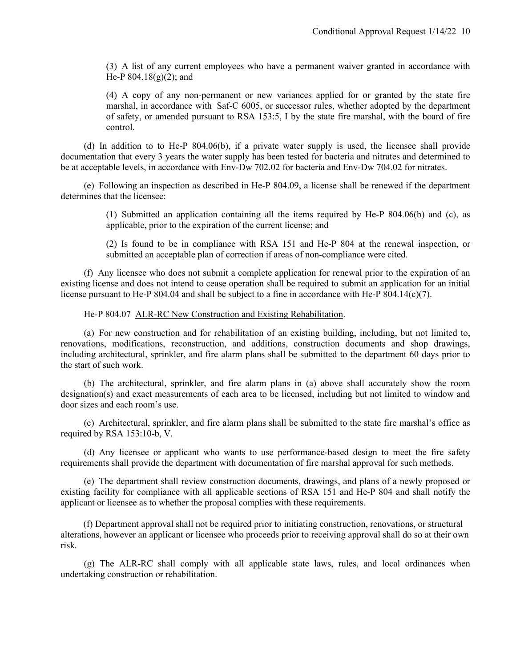(3) A list of any current employees who have a permanent waiver granted in accordance with He-P  $804.18(g)(2)$ ; and

(4) A copy of any non-permanent or new variances applied for or granted by the state fire marshal, in accordance with Saf-C 6005, or successor rules, whether adopted by the department of safety, or amended pursuant to RSA 153:5, I by the state fire marshal, with the board of fire control.

 (d) In addition to to He-P 804.06(b), if a private water supply is used, the licensee shall provide documentation that every 3 years the water supply has been tested for bacteria and nitrates and determined to be at acceptable levels, in accordance with Env-Dw 702.02 for bacteria and Env-Dw 704.02 for nitrates.

 (e) Following an inspection as described in He-P 804.09, a license shall be renewed if the department determines that the licensee:

> (1) Submitted an application containing all the items required by He-P 804.06(b) and (c), as applicable, prior to the expiration of the current license; and

> (2) Is found to be in compliance with RSA 151 and He-P 804 at the renewal inspection, or submitted an acceptable plan of correction if areas of non-compliance were cited.

 (f) Any licensee who does not submit a complete application for renewal prior to the expiration of an existing license and does not intend to cease operation shall be required to submit an application for an initial license pursuant to He-P 804.04 and shall be subject to a fine in accordance with He-P 804.14(c)(7).

#### He-P 804.07 ALR-RC New Construction and Existing Rehabilitation.

 (a) For new construction and for rehabilitation of an existing building, including, but not limited to, renovations, modifications, reconstruction, and additions, construction documents and shop drawings, including architectural, sprinkler, and fire alarm plans shall be submitted to the department 60 days prior to the start of such work.

 (b) The architectural, sprinkler, and fire alarm plans in (a) above shall accurately show the room designation(s) and exact measurements of each area to be licensed, including but not limited to window and door sizes and each room's use.

 (c) Architectural, sprinkler, and fire alarm plans shall be submitted to the state fire marshal's office as required by RSA 153:10-b, V.

 (d) Any licensee or applicant who wants to use performance-based design to meet the fire safety requirements shall provide the department with documentation of fire marshal approval for such methods.

 (e) The department shall review construction documents, drawings, and plans of a newly proposed or existing facility for compliance with all applicable sections of RSA 151 and He-P 804 and shall notify the applicant or licensee as to whether the proposal complies with these requirements.

(f) Department approval shall not be required prior to initiating construction, renovations, or structural alterations, however an applicant or licensee who proceeds prior to receiving approval shall do so at their own risk.

 (g) The ALR-RC shall comply with all applicable state laws, rules, and local ordinances when undertaking construction or rehabilitation.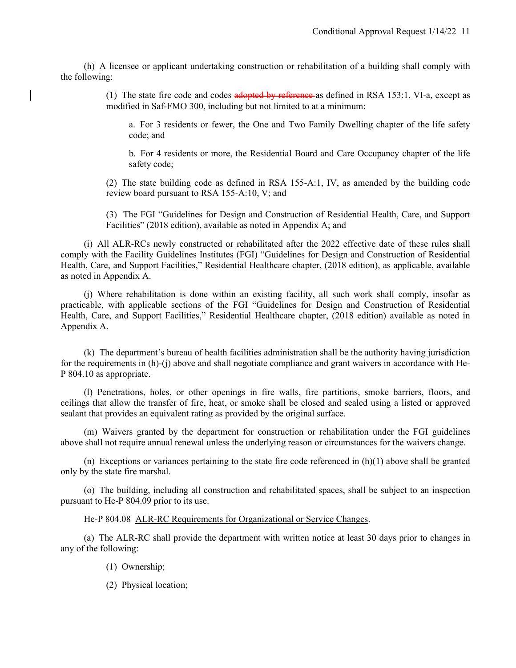(h) A licensee or applicant undertaking construction or rehabilitation of a building shall comply with the following:

> (1) The state fire code and codes adopted by reference as defined in RSA 153:1, VI-a, except as modified in Saf-FMO 300, including but not limited to at a minimum:

a. For 3 residents or fewer, the One and Two Family Dwelling chapter of the life safety code; and

b. For 4 residents or more, the Residential Board and Care Occupancy chapter of the life safety code;

(2) The state building code as defined in RSA 155-A:1, IV, as amended by the building code review board pursuant to RSA 155-A:10, V; and

(3) The FGI "Guidelines for Design and Construction of Residential Health, Care, and Support Facilities" (2018 edition), available as noted in Appendix A; and

 (i) All ALR-RCs newly constructed or rehabilitated after the 2022 effective date of these rules shall comply with the Facility Guidelines Institutes (FGI) "Guidelines for Design and Construction of Residential Health, Care, and Support Facilities," Residential Healthcare chapter, (2018 edition), as applicable, available as noted in Appendix A.

 (j) Where rehabilitation is done within an existing facility, all such work shall comply, insofar as practicable, with applicable sections of the FGI "Guidelines for Design and Construction of Residential Health, Care, and Support Facilities," Residential Healthcare chapter, (2018 edition) available as noted in Appendix A.

 (k) The department's bureau of health facilities administration shall be the authority having jurisdiction for the requirements in (h)-(j) above and shall negotiate compliance and grant waivers in accordance with He-P 804.10 as appropriate.

 (l) Penetrations, holes, or other openings in fire walls, fire partitions, smoke barriers, floors, and ceilings that allow the transfer of fire, heat, or smoke shall be closed and sealed using a listed or approved sealant that provides an equivalent rating as provided by the original surface.

 (m) Waivers granted by the department for construction or rehabilitation under the FGI guidelines above shall not require annual renewal unless the underlying reason or circumstances for the waivers change.

(n) Exceptions or variances pertaining to the state fire code referenced in  $(h)(1)$  above shall be granted only by the state fire marshal.

 (o) The building, including all construction and rehabilitated spaces, shall be subject to an inspection pursuant to He-P 804.09 prior to its use.

He-P 804.08 ALR-RC Requirements for Organizational or Service Changes.

 (a) The ALR-RC shall provide the department with written notice at least 30 days prior to changes in any of the following:

- (1) Ownership;
- (2) Physical location;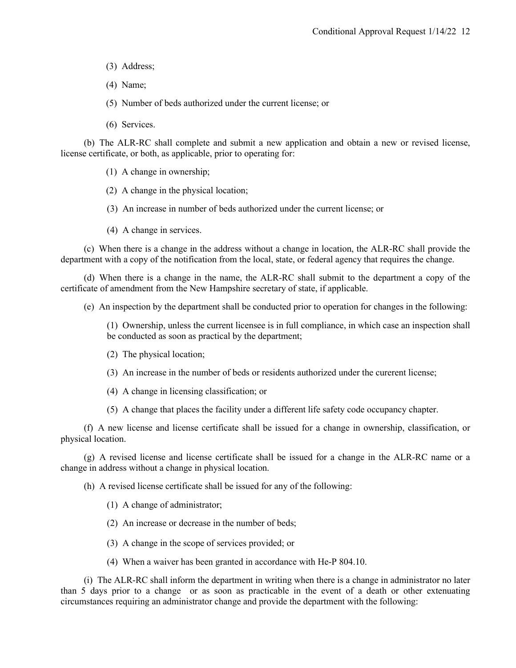- (3) Address;
- (4) Name;

(5) Number of beds authorized under the current license; or

(6) Services.

 (b) The ALR-RC shall complete and submit a new application and obtain a new or revised license, license certificate, or both, as applicable, prior to operating for:

(1) A change in ownership;

- (2) A change in the physical location;
- (3) An increase in number of beds authorized under the current license; or
- (4) A change in services.

 (c) When there is a change in the address without a change in location, the ALR-RC shall provide the department with a copy of the notification from the local, state, or federal agency that requires the change.

 (d) When there is a change in the name, the ALR-RC shall submit to the department a copy of the certificate of amendment from the New Hampshire secretary of state, if applicable.

(e) An inspection by the department shall be conducted prior to operation for changes in the following:

(1) Ownership, unless the current licensee is in full compliance, in which case an inspection shall be conducted as soon as practical by the department;

- (2) The physical location;
- (3) An increase in the number of beds or residents authorized under the curerent license;
- (4) A change in licensing classification; or
- (5) A change that places the facility under a different life safety code occupancy chapter.

 (f) A new license and license certificate shall be issued for a change in ownership, classification, or physical location.

 (g) A revised license and license certificate shall be issued for a change in the ALR-RC name or a change in address without a change in physical location.

(h) A revised license certificate shall be issued for any of the following:

- (1) A change of administrator;
- (2) An increase or decrease in the number of beds;
- (3) A change in the scope of services provided; or
- (4) When a waiver has been granted in accordance with He-P 804.10.

 (i) The ALR-RC shall inform the department in writing when there is a change in administrator no later than 5 days prior to a change or as soon as practicable in the event of a death or other extenuating circumstances requiring an administrator change and provide the department with the following: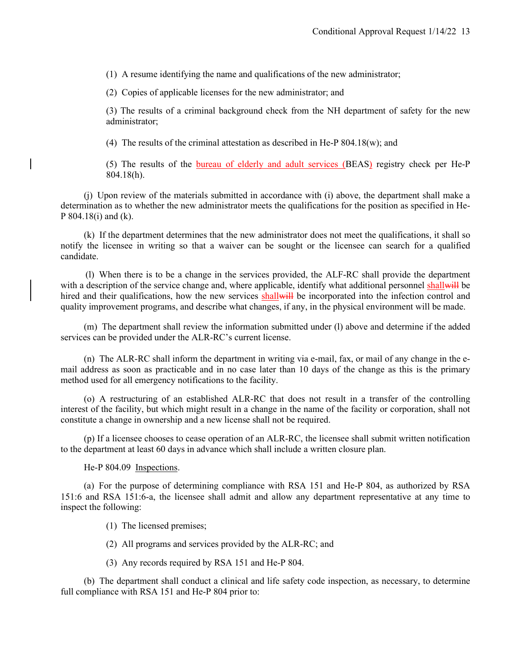(1) A resume identifying the name and qualifications of the new administrator;

(2) Copies of applicable licenses for the new administrator; and

(3) The results of a criminal background check from the NH department of safety for the new administrator;

(4) The results of the criminal attestation as described in He-P  $804.18(w)$ ; and

(5) The results of the bureau of elderly and adult services (BEAS) registry check per He-P 804.18(h).

 (j) Upon review of the materials submitted in accordance with (i) above, the department shall make a determination as to whether the new administrator meets the qualifications for the position as specified in He-P 804.18(i) and (k).

 (k) If the department determines that the new administrator does not meet the qualifications, it shall so notify the licensee in writing so that a waiver can be sought or the licensee can search for a qualified candidate.

 (l) When there is to be a change in the services provided, the ALF-RC shall provide the department with a description of the service change and, where applicable, identify what additional personnel shallwill be hired and their qualifications, how the new services shall will be incorporated into the infection control and quality improvement programs, and describe what changes, if any, in the physical environment will be made.

 (m) The department shall review the information submitted under (l) above and determine if the added services can be provided under the ALR-RC's current license.

 (n) The ALR-RC shall inform the department in writing via e-mail, fax, or mail of any change in the email address as soon as practicable and in no case later than 10 days of the change as this is the primary method used for all emergency notifications to the facility.

 (o) A restructuring of an established ALR-RC that does not result in a transfer of the controlling interest of the facility, but which might result in a change in the name of the facility or corporation, shall not constitute a change in ownership and a new license shall not be required.

 (p) If a licensee chooses to cease operation of an ALR-RC, the licensee shall submit written notification to the department at least 60 days in advance which shall include a written closure plan.

He-P 804.09 Inspections.

 (a) For the purpose of determining compliance with RSA 151 and He-P 804, as authorized by RSA 151:6 and RSA 151:6-a, the licensee shall admit and allow any department representative at any time to inspect the following:

- (1) The licensed premises;
- (2) All programs and services provided by the ALR-RC; and
- (3) Any records required by RSA 151 and He-P 804.

 (b) The department shall conduct a clinical and life safety code inspection, as necessary, to determine full compliance with RSA 151 and He-P 804 prior to: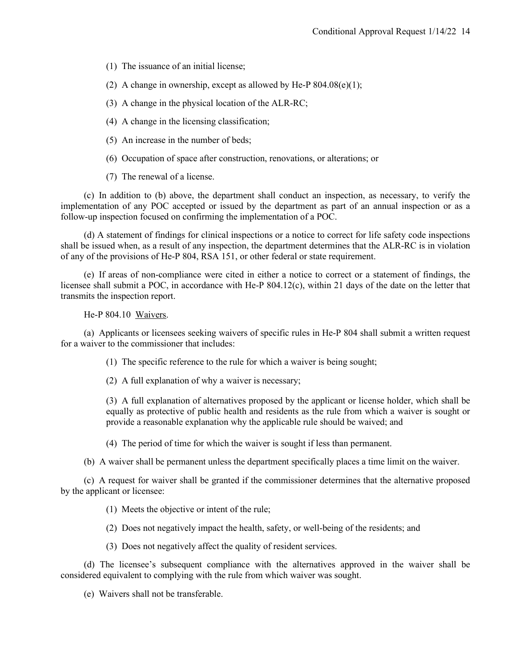- (1) The issuance of an initial license;
- (2) A change in ownership, except as allowed by He-P  $804.08(e)(1)$ ;
- (3) A change in the physical location of the ALR-RC;
- (4) A change in the licensing classification;
- (5) An increase in the number of beds;
- (6) Occupation of space after construction, renovations, or alterations; or

(7) The renewal of a license.

 (c) In addition to (b) above, the department shall conduct an inspection, as necessary, to verify the implementation of any POC accepted or issued by the department as part of an annual inspection or as a follow-up inspection focused on confirming the implementation of a POC.

 (d) A statement of findings for clinical inspections or a notice to correct for life safety code inspections shall be issued when, as a result of any inspection, the department determines that the ALR-RC is in violation of any of the provisions of He-P 804, RSA 151, or other federal or state requirement.

 (e) If areas of non-compliance were cited in either a notice to correct or a statement of findings, the licensee shall submit a POC, in accordance with He-P 804.12(c), within 21 days of the date on the letter that transmits the inspection report.

#### He-P 804.10 Waivers.

 (a) Applicants or licensees seeking waivers of specific rules in He-P 804 shall submit a written request for a waiver to the commissioner that includes:

(1) The specific reference to the rule for which a waiver is being sought;

(2) A full explanation of why a waiver is necessary;

(3) A full explanation of alternatives proposed by the applicant or license holder, which shall be equally as protective of public health and residents as the rule from which a waiver is sought or provide a reasonable explanation why the applicable rule should be waived; and

(4) The period of time for which the waiver is sought if less than permanent.

(b) A waiver shall be permanent unless the department specifically places a time limit on the waiver.

 (c) A request for waiver shall be granted if the commissioner determines that the alternative proposed by the applicant or licensee:

- (1) Meets the objective or intent of the rule;
- (2) Does not negatively impact the health, safety, or well-being of the residents; and
- (3) Does not negatively affect the quality of resident services.

 (d) The licensee's subsequent compliance with the alternatives approved in the waiver shall be considered equivalent to complying with the rule from which waiver was sought.

(e) Waivers shall not be transferable.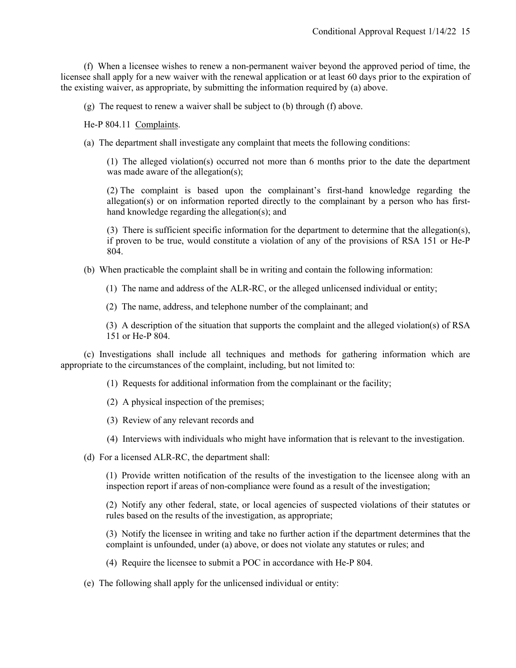(f) When a licensee wishes to renew a non-permanent waiver beyond the approved period of time, the licensee shall apply for a new waiver with the renewal application or at least 60 days prior to the expiration of the existing waiver, as appropriate, by submitting the information required by (a) above.

(g) The request to renew a waiver shall be subject to (b) through (f) above.

He-P 804.11 Complaints.

(a) The department shall investigate any complaint that meets the following conditions:

(1) The alleged violation(s) occurred not more than 6 months prior to the date the department was made aware of the allegation(s);

(2) The complaint is based upon the complainant's first-hand knowledge regarding the allegation(s) or on information reported directly to the complainant by a person who has firsthand knowledge regarding the allegation(s); and

(3) There is sufficient specific information for the department to determine that the allegation(s), if proven to be true, would constitute a violation of any of the provisions of RSA 151 or He-P 804.

(b) When practicable the complaint shall be in writing and contain the following information:

(1) The name and address of the ALR-RC, or the alleged unlicensed individual or entity;

(2) The name, address, and telephone number of the complainant; and

(3) A description of the situation that supports the complaint and the alleged violation(s) of RSA 151 or He-P 804.

 (c) Investigations shall include all techniques and methods for gathering information which are appropriate to the circumstances of the complaint, including, but not limited to:

(1) Requests for additional information from the complainant or the facility;

(2) A physical inspection of the premises;

(3) Review of any relevant records and

(4) Interviews with individuals who might have information that is relevant to the investigation.

(d) For a licensed ALR-RC, the department shall:

(1) Provide written notification of the results of the investigation to the licensee along with an inspection report if areas of non-compliance were found as a result of the investigation;

(2) Notify any other federal, state, or local agencies of suspected violations of their statutes or rules based on the results of the investigation, as appropriate;

(3) Notify the licensee in writing and take no further action if the department determines that the complaint is unfounded, under (a) above, or does not violate any statutes or rules; and

(4) Require the licensee to submit a POC in accordance with He-P 804.

(e) The following shall apply for the unlicensed individual or entity: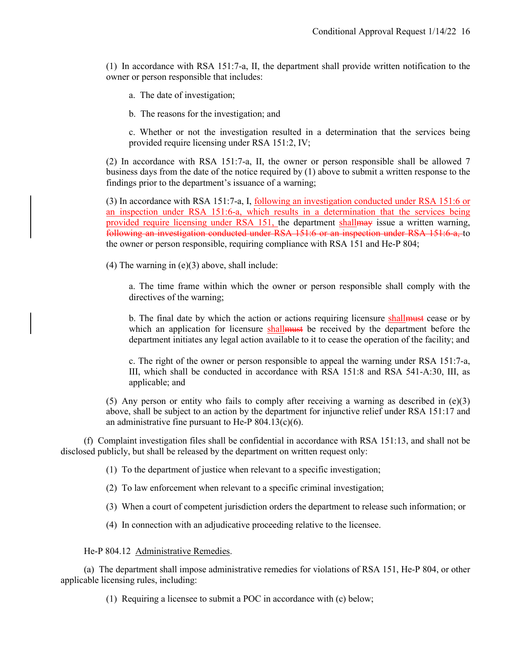(1) In accordance with RSA 151:7-a, II, the department shall provide written notification to the owner or person responsible that includes:

- a. The date of investigation;
- b. The reasons for the investigation; and

c. Whether or not the investigation resulted in a determination that the services being provided require licensing under RSA 151:2, IV;

(2) In accordance with RSA 151:7-a, II, the owner or person responsible shall be allowed 7 business days from the date of the notice required by (1) above to submit a written response to the findings prior to the department's issuance of a warning;

(3) In accordance with RSA 151:7-a, I, following an investigation conducted under RSA 151:6 or an inspection under RSA 151:6-a, which results in a determination that the services being provided require licensing under RSA 151, the department shall may issue a written warning, following an investigation conducted under RSA 151:6 or an inspection under RSA 151:6-a, to the owner or person responsible, requiring compliance with RSA 151 and He-P 804;

(4) The warning in  $(e)(3)$  above, shall include:

a. The time frame within which the owner or person responsible shall comply with the directives of the warning;

b. The final date by which the action or actions requiring licensure shall must cease or by which an application for licensure shall must be received by the department before the department initiates any legal action available to it to cease the operation of the facility; and

c. The right of the owner or person responsible to appeal the warning under RSA 151:7-a, III, which shall be conducted in accordance with RSA 151:8 and RSA 541-A:30, III, as applicable; and

(5) Any person or entity who fails to comply after receiving a warning as described in  $(e)(3)$ above, shall be subject to an action by the department for injunctive relief under RSA 151:17 and an administrative fine pursuant to He-P  $804.13(c)(6)$ .

 (f) Complaint investigation files shall be confidential in accordance with RSA 151:13, and shall not be disclosed publicly, but shall be released by the department on written request only:

(1) To the department of justice when relevant to a specific investigation;

- (2) To law enforcement when relevant to a specific criminal investigation;
- (3) When a court of competent jurisdiction orders the department to release such information; or
- (4) In connection with an adjudicative proceeding relative to the licensee.

He-P 804.12 Administrative Remedies.

 (a) The department shall impose administrative remedies for violations of RSA 151, He-P 804, or other applicable licensing rules, including:

(1) Requiring a licensee to submit a POC in accordance with (c) below;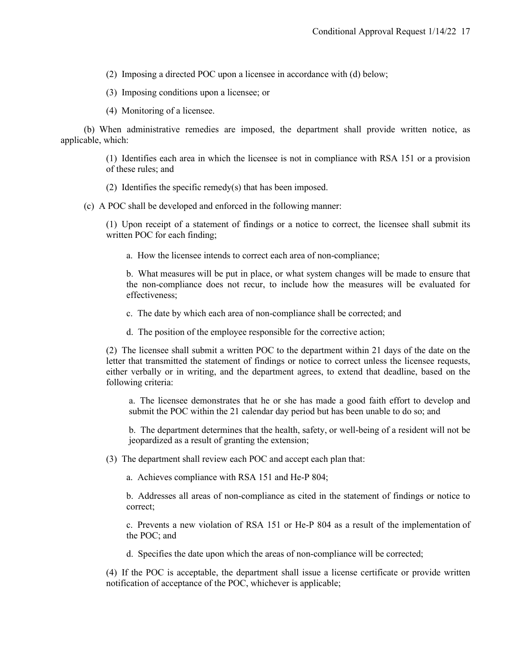(2) Imposing a directed POC upon a licensee in accordance with (d) below;

(3) Imposing conditions upon a licensee; or

(4) Monitoring of a licensee.

 (b) When administrative remedies are imposed, the department shall provide written notice, as applicable, which:

> (1) Identifies each area in which the licensee is not in compliance with RSA 151 or a provision of these rules; and

(2) Identifies the specific remedy(s) that has been imposed.

(c) A POC shall be developed and enforced in the following manner:

(1) Upon receipt of a statement of findings or a notice to correct, the licensee shall submit its written POC for each finding;

a. How the licensee intends to correct each area of non-compliance;

b. What measures will be put in place, or what system changes will be made to ensure that the non-compliance does not recur, to include how the measures will be evaluated for effectiveness;

- c. The date by which each area of non-compliance shall be corrected; and
- d. The position of the employee responsible for the corrective action;

(2) The licensee shall submit a written POC to the department within 21 days of the date on the letter that transmitted the statement of findings or notice to correct unless the licensee requests, either verbally or in writing, and the department agrees, to extend that deadline, based on the following criteria:

a. The licensee demonstrates that he or she has made a good faith effort to develop and submit the POC within the 21 calendar day period but has been unable to do so; and

b. The department determines that the health, safety, or well-being of a resident will not be jeopardized as a result of granting the extension;

(3) The department shall review each POC and accept each plan that:

a. Achieves compliance with RSA 151 and He-P 804;

b. Addresses all areas of non-compliance as cited in the statement of findings or notice to correct;

c. Prevents a new violation of RSA 151 or He-P 804 as a result of the implementation of the POC; and

d. Specifies the date upon which the areas of non-compliance will be corrected;

(4) If the POC is acceptable, the department shall issue a license certificate or provide written notification of acceptance of the POC, whichever is applicable;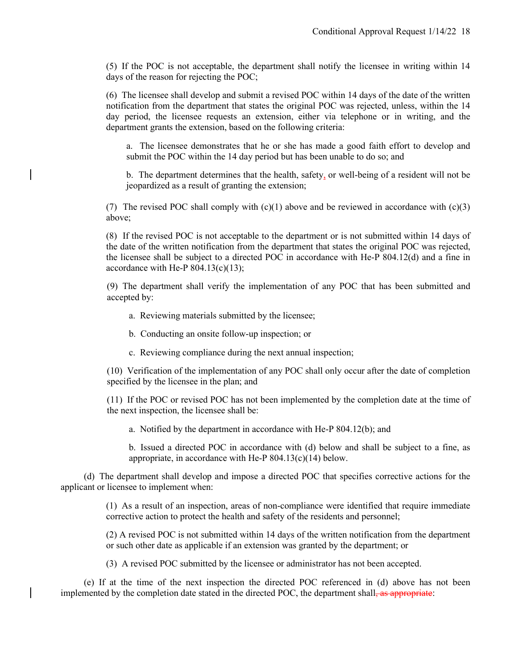(5) If the POC is not acceptable, the department shall notify the licensee in writing within 14 days of the reason for rejecting the POC;

(6) The licensee shall develop and submit a revised POC within 14 days of the date of the written notification from the department that states the original POC was rejected, unless, within the 14 day period, the licensee requests an extension, either via telephone or in writing, and the department grants the extension, based on the following criteria:

a. The licensee demonstrates that he or she has made a good faith effort to develop and submit the POC within the 14 day period but has been unable to do so; and

b. The department determines that the health, safety, or well-being of a resident will not be jeopardized as a result of granting the extension;

(7) The revised POC shall comply with  $(c)(1)$  above and be reviewed in accordance with  $(c)(3)$ above;

(8) If the revised POC is not acceptable to the department or is not submitted within 14 days of the date of the written notification from the department that states the original POC was rejected, the licensee shall be subject to a directed POC in accordance with He-P 804.12(d) and a fine in accordance with He-P  $804.13(c)(13)$ ;

(9) The department shall verify the implementation of any POC that has been submitted and accepted by:

- a. Reviewing materials submitted by the licensee;
- b. Conducting an onsite follow-up inspection; or
- c. Reviewing compliance during the next annual inspection;

(10) Verification of the implementation of any POC shall only occur after the date of completion specified by the licensee in the plan; and

(11) If the POC or revised POC has not been implemented by the completion date at the time of the next inspection, the licensee shall be:

a. Notified by the department in accordance with He-P 804.12(b); and

b. Issued a directed POC in accordance with (d) below and shall be subject to a fine, as appropriate, in accordance with He-P 804.13(c)(14) below.

 (d) The department shall develop and impose a directed POC that specifies corrective actions for the applicant or licensee to implement when:

> (1) As a result of an inspection, areas of non-compliance were identified that require immediate corrective action to protect the health and safety of the residents and personnel;

> (2) A revised POC is not submitted within 14 days of the written notification from the department or such other date as applicable if an extension was granted by the department; or

(3) A revised POC submitted by the licensee or administrator has not been accepted.

 (e) If at the time of the next inspection the directed POC referenced in (d) above has not been implemented by the completion date stated in the directed POC, the department shall, as appropriate: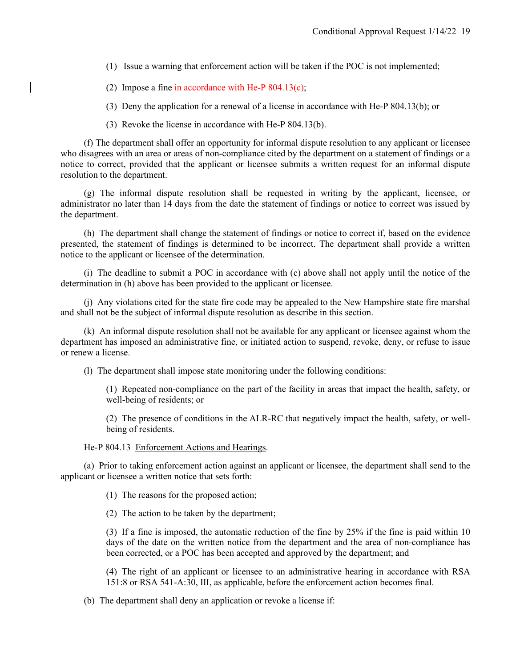(1) Issue a warning that enforcement action will be taken if the POC is not implemented;

(2) Impose a fine in accordance with He-P  $804.13(c)$ ;

(3) Deny the application for a renewal of a license in accordance with He-P 804.13(b); or

(3) Revoke the license in accordance with He-P 804.13(b).

 (f) The department shall offer an opportunity for informal dispute resolution to any applicant or licensee who disagrees with an area or areas of non-compliance cited by the department on a statement of findings or a notice to correct, provided that the applicant or licensee submits a written request for an informal dispute resolution to the department.

 (g) The informal dispute resolution shall be requested in writing by the applicant, licensee, or administrator no later than 14 days from the date the statement of findings or notice to correct was issued by the department.

 (h) The department shall change the statement of findings or notice to correct if, based on the evidence presented, the statement of findings is determined to be incorrect. The department shall provide a written notice to the applicant or licensee of the determination.

 (i) The deadline to submit a POC in accordance with (c) above shall not apply until the notice of the determination in (h) above has been provided to the applicant or licensee.

 (j) Any violations cited for the state fire code may be appealed to the New Hampshire state fire marshal and shall not be the subject of informal dispute resolution as describe in this section.

 (k) An informal dispute resolution shall not be available for any applicant or licensee against whom the department has imposed an administrative fine, or initiated action to suspend, revoke, deny, or refuse to issue or renew a license.

(l) The department shall impose state monitoring under the following conditions:

(1) Repeated non-compliance on the part of the facility in areas that impact the health, safety, or well-being of residents; or

(2) The presence of conditions in the ALR-RC that negatively impact the health, safety, or wellbeing of residents.

He-P 804.13 Enforcement Actions and Hearings.

 (a) Prior to taking enforcement action against an applicant or licensee, the department shall send to the applicant or licensee a written notice that sets forth:

(1) The reasons for the proposed action;

(2) The action to be taken by the department;

(3) If a fine is imposed, the automatic reduction of the fine by 25% if the fine is paid within 10 days of the date on the written notice from the department and the area of non-compliance has been corrected, or a POC has been accepted and approved by the department; and

(4) The right of an applicant or licensee to an administrative hearing in accordance with RSA 151:8 or RSA 541-A:30, III, as applicable, before the enforcement action becomes final.

(b) The department shall deny an application or revoke a license if: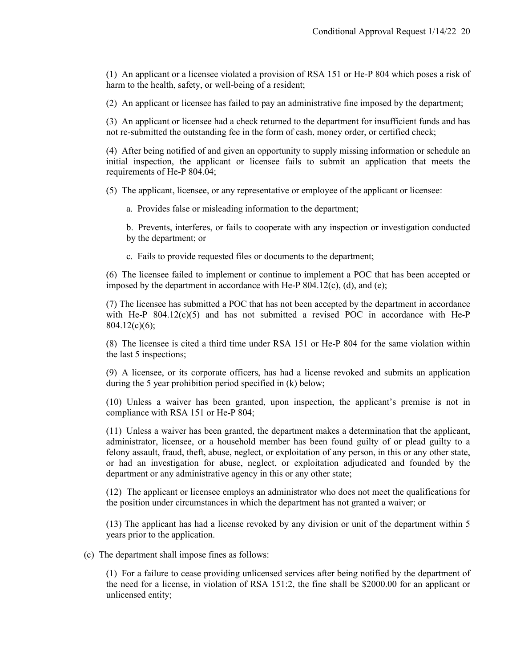(1) An applicant or a licensee violated a provision of RSA 151 or He-P 804 which poses a risk of harm to the health, safety, or well-being of a resident;

(2) An applicant or licensee has failed to pay an administrative fine imposed by the department;

(3) An applicant or licensee had a check returned to the department for insufficient funds and has not re-submitted the outstanding fee in the form of cash, money order, or certified check;

(4) After being notified of and given an opportunity to supply missing information or schedule an initial inspection, the applicant or licensee fails to submit an application that meets the requirements of He-P 804.04;

(5) The applicant, licensee, or any representative or employee of the applicant or licensee:

a. Provides false or misleading information to the department;

b. Prevents, interferes, or fails to cooperate with any inspection or investigation conducted by the department; or

c. Fails to provide requested files or documents to the department;

(6) The licensee failed to implement or continue to implement a POC that has been accepted or imposed by the department in accordance with He-P  $804.12(c)$ , (d), and (e);

(7) The licensee has submitted a POC that has not been accepted by the department in accordance with He-P  $804.12(c)(5)$  and has not submitted a revised POC in accordance with He-P 804.12(c)(6);

(8) The licensee is cited a third time under RSA 151 or He-P 804 for the same violation within the last 5 inspections;

(9) A licensee, or its corporate officers, has had a license revoked and submits an application during the 5 year prohibition period specified in (k) below;

(10) Unless a waiver has been granted, upon inspection, the applicant's premise is not in compliance with RSA 151 or He-P 804;

(11) Unless a waiver has been granted, the department makes a determination that the applicant, administrator, licensee, or a household member has been found guilty of or plead guilty to a felony assault, fraud, theft, abuse, neglect, or exploitation of any person, in this or any other state, or had an investigation for abuse, neglect, or exploitation adjudicated and founded by the department or any administrative agency in this or any other state;

(12) The applicant or licensee employs an administrator who does not meet the qualifications for the position under circumstances in which the department has not granted a waiver; or

(13) The applicant has had a license revoked by any division or unit of the department within 5 years prior to the application.

(c) The department shall impose fines as follows:

(1) For a failure to cease providing unlicensed services after being notified by the department of the need for a license, in violation of RSA 151:2, the fine shall be \$2000.00 for an applicant or unlicensed entity;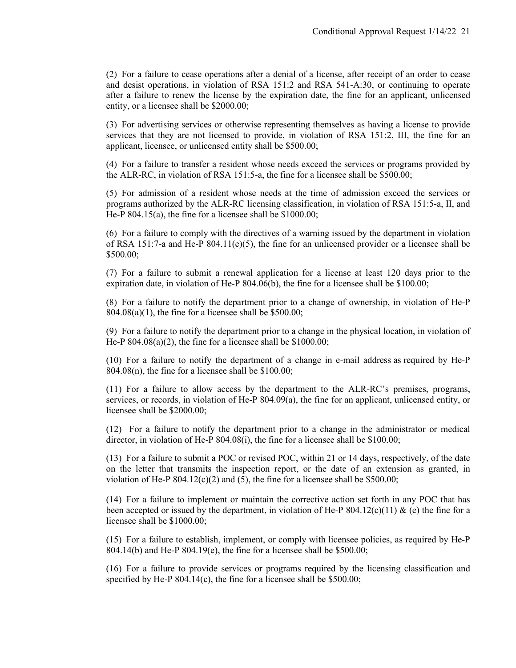(2) For a failure to cease operations after a denial of a license, after receipt of an order to cease and desist operations, in violation of RSA 151:2 and RSA 541-A:30, or continuing to operate after a failure to renew the license by the expiration date, the fine for an applicant, unlicensed entity, or a licensee shall be \$2000.00;

(3) For advertising services or otherwise representing themselves as having a license to provide services that they are not licensed to provide, in violation of RSA 151:2, III, the fine for an applicant, licensee, or unlicensed entity shall be \$500.00;

(4) For a failure to transfer a resident whose needs exceed the services or programs provided by the ALR-RC, in violation of RSA 151:5-a, the fine for a licensee shall be \$500.00;

(5) For admission of a resident whose needs at the time of admission exceed the services or programs authorized by the ALR-RC licensing classification, in violation of RSA 151:5-a, II, and He-P 804.15(a), the fine for a licensee shall be \$1000.00;

(6) For a failure to comply with the directives of a warning issued by the department in violation of RSA 151:7-a and He-P 804.11(e)(5), the fine for an unlicensed provider or a licensee shall be \$500.00;

(7) For a failure to submit a renewal application for a license at least 120 days prior to the expiration date, in violation of He-P 804.06(b), the fine for a licensee shall be \$100.00;

(8) For a failure to notify the department prior to a change of ownership, in violation of He-P  $804.08(a)(1)$ , the fine for a licensee shall be \$500.00;

(9) For a failure to notify the department prior to a change in the physical location, in violation of He-P  $804.08(a)(2)$ , the fine for a licensee shall be \$1000.00;

(10) For a failure to notify the department of a change in e-mail address as required by He-P  $804.08(n)$ , the fine for a licensee shall be \$100.00;

(11) For a failure to allow access by the department to the ALR-RC's premises, programs, services, or records, in violation of He-P 804.09(a), the fine for an applicant, unlicensed entity, or licensee shall be \$2000.00;

(12) For a failure to notify the department prior to a change in the administrator or medical director, in violation of He-P 804.08(i), the fine for a licensee shall be \$100.00;

(13) For a failure to submit a POC or revised POC, within 21 or 14 days, respectively, of the date on the letter that transmits the inspection report, or the date of an extension as granted, in violation of He-P  $804.12(c)(2)$  and (5), the fine for a licensee shall be \$500.00;

(14) For a failure to implement or maintain the corrective action set forth in any POC that has been accepted or issued by the department, in violation of He-P 804.12(c)(11) & (e) the fine for a licensee shall be \$1000.00;

(15) For a failure to establish, implement, or comply with licensee policies, as required by He-P 804.14(b) and He-P 804.19(e), the fine for a licensee shall be \$500.00;

(16) For a failure to provide services or programs required by the licensing classification and specified by He-P 804.14(c), the fine for a licensee shall be \$500.00;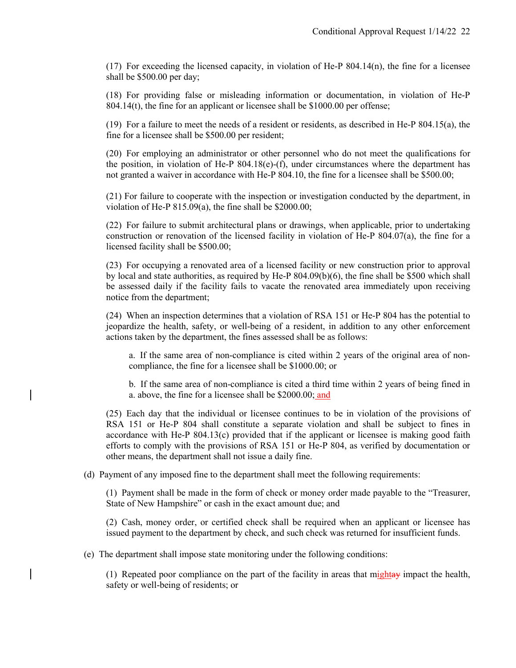(17) For exceeding the licensed capacity, in violation of He-P 804.14(n), the fine for a licensee shall be \$500.00 per day;

(18) For providing false or misleading information or documentation, in violation of He-P 804.14(t), the fine for an applicant or licensee shall be \$1000.00 per offense;

(19) For a failure to meet the needs of a resident or residents, as described in He-P 804.15(a), the fine for a licensee shall be \$500.00 per resident;

(20) For employing an administrator or other personnel who do not meet the qualifications for the position, in violation of He-P  $804.18(e)$ -(f), under circumstances where the department has not granted a waiver in accordance with He-P 804.10, the fine for a licensee shall be \$500.00;

(21) For failure to cooperate with the inspection or investigation conducted by the department, in violation of He-P  $815.09(a)$ , the fine shall be \$2000.00;

(22) For failure to submit architectural plans or drawings, when applicable, prior to undertaking construction or renovation of the licensed facility in violation of He-P 804.07(a), the fine for a licensed facility shall be \$500.00;

(23) For occupying a renovated area of a licensed facility or new construction prior to approval by local and state authorities, as required by He-P 804.09(b)(6), the fine shall be \$500 which shall be assessed daily if the facility fails to vacate the renovated area immediately upon receiving notice from the department;

(24) When an inspection determines that a violation of RSA 151 or He-P 804 has the potential to jeopardize the health, safety, or well-being of a resident, in addition to any other enforcement actions taken by the department, the fines assessed shall be as follows:

a. If the same area of non-compliance is cited within 2 years of the original area of noncompliance, the fine for a licensee shall be \$1000.00; or

b. If the same area of non-compliance is cited a third time within 2 years of being fined in a. above, the fine for a licensee shall be \$2000.00; and

(25) Each day that the individual or licensee continues to be in violation of the provisions of RSA 151 or He-P 804 shall constitute a separate violation and shall be subject to fines in accordance with He-P 804.13(c) provided that if the applicant or licensee is making good faith efforts to comply with the provisions of RSA 151 or He-P 804, as verified by documentation or other means, the department shall not issue a daily fine.

(d) Payment of any imposed fine to the department shall meet the following requirements:

(1) Payment shall be made in the form of check or money order made payable to the "Treasurer, State of New Hampshire" or cash in the exact amount due; and

(2) Cash, money order, or certified check shall be required when an applicant or licensee has issued payment to the department by check, and such check was returned for insufficient funds.

(e) The department shall impose state monitoring under the following conditions:

(1) Repeated poor compliance on the part of the facility in areas that  $m$  in  $g$  impact the health, safety or well-being of residents; or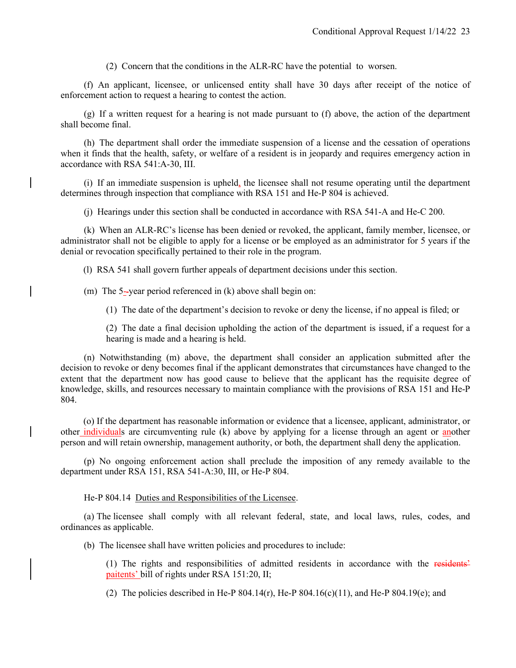(2) Concern that the conditions in the ALR-RC have the potential to worsen.

 (f) An applicant, licensee, or unlicensed entity shall have 30 days after receipt of the notice of enforcement action to request a hearing to contest the action.

 (g) If a written request for a hearing is not made pursuant to (f) above, the action of the department shall become final.

 (h) The department shall order the immediate suspension of a license and the cessation of operations when it finds that the health, safety, or welfare of a resident is in jeopardy and requires emergency action in accordance with RSA 541:A-30, III.

 (i) If an immediate suspension is upheld, the licensee shall not resume operating until the department determines through inspection that compliance with RSA 151 and He-P 804 is achieved.

(j) Hearings under this section shall be conducted in accordance with RSA 541-A and He-C 200.

 (k) When an ALR-RC's license has been denied or revoked, the applicant, family member, licensee, or administrator shall not be eligible to apply for a license or be employed as an administrator for 5 years if the denial or revocation specifically pertained to their role in the program.

(l) RSA 541 shall govern further appeals of department decisions under this section.

(m) The 5- year period referenced in (k) above shall begin on:

(1) The date of the department's decision to revoke or deny the license, if no appeal is filed; or

(2) The date a final decision upholding the action of the department is issued, if a request for a hearing is made and a hearing is held.

 (n) Notwithstanding (m) above, the department shall consider an application submitted after the decision to revoke or deny becomes final if the applicant demonstrates that circumstances have changed to the extent that the department now has good cause to believe that the applicant has the requisite degree of knowledge, skills, and resources necessary to maintain compliance with the provisions of RSA 151 and He-P 804.

(o) If the department has reasonable information or evidence that a licensee, applicant, administrator, or other individuals are circumventing rule (k) above by applying for a license through an agent or another person and will retain ownership, management authority, or both, the department shall deny the application.

 (p) No ongoing enforcement action shall preclude the imposition of any remedy available to the department under RSA 151, RSA 541-A:30, III, or He-P 804.

He-P 804.14 Duties and Responsibilities of the Licensee.

 (a) The licensee shall comply with all relevant federal, state, and local laws, rules, codes, and ordinances as applicable.

(b) The licensee shall have written policies and procedures to include:

(1) The rights and responsibilities of admitted residents in accordance with the residents' paitents' bill of rights under RSA 151:20, II;

(2) The policies described in He-P 804.14(r), He-P 804.16(c)(11), and He-P 804.19(e); and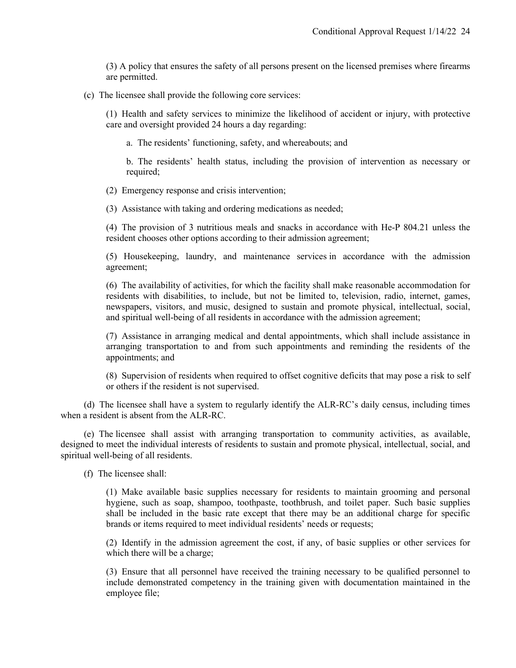(3) A policy that ensures the safety of all persons present on the licensed premises where firearms are permitted.

(c) The licensee shall provide the following core services:

(1) Health and safety services to minimize the likelihood of accident or injury, with protective care and oversight provided 24 hours a day regarding:

a. The residents' functioning, safety, and whereabouts; and

b. The residents' health status, including the provision of intervention as necessary or required;

(2) Emergency response and crisis intervention;

(3) Assistance with taking and ordering medications as needed;

(4) The provision of 3 nutritious meals and snacks in accordance with He-P 804.21 unless the resident chooses other options according to their admission agreement;

(5) Housekeeping, laundry, and maintenance services in accordance with the admission agreement;

(6) The availability of activities, for which the facility shall make reasonable accommodation for residents with disabilities, to include, but not be limited to, television, radio, internet, games, newspapers, visitors, and music, designed to sustain and promote physical, intellectual, social, and spiritual well-being of all residents in accordance with the admission agreement;

(7) Assistance in arranging medical and dental appointments, which shall include assistance in arranging transportation to and from such appointments and reminding the residents of the appointments; and

(8) Supervision of residents when required to offset cognitive deficits that may pose a risk to self or others if the resident is not supervised.

 (d) The licensee shall have a system to regularly identify the ALR-RC's daily census, including times when a resident is absent from the ALR-RC.

 (e) The licensee shall assist with arranging transportation to community activities, as available, designed to meet the individual interests of residents to sustain and promote physical, intellectual, social, and spiritual well-being of all residents.

(f) The licensee shall:

(1) Make available basic supplies necessary for residents to maintain grooming and personal hygiene, such as soap, shampoo, toothpaste, toothbrush, and toilet paper. Such basic supplies shall be included in the basic rate except that there may be an additional charge for specific brands or items required to meet individual residents' needs or requests;

(2) Identify in the admission agreement the cost, if any, of basic supplies or other services for which there will be a charge;

(3) Ensure that all personnel have received the training necessary to be qualified personnel to include demonstrated competency in the training given with documentation maintained in the employee file;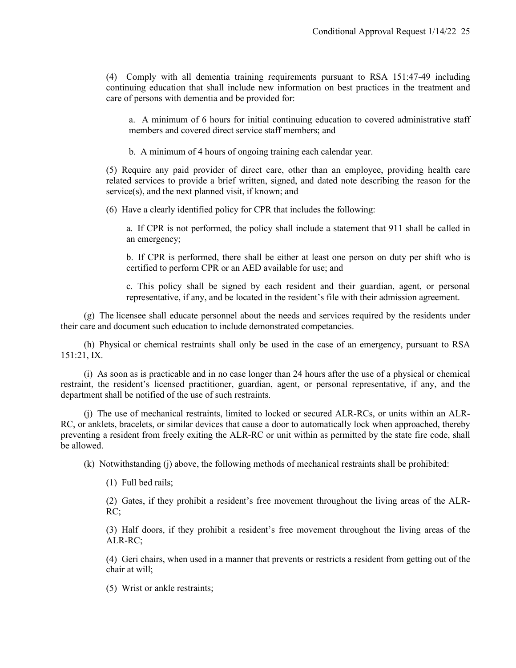(4) Comply with all dementia training requirements pursuant to RSA 151:47-49 including continuing education that shall include new information on best practices in the treatment and care of persons with dementia and be provided for:

a. A minimum of 6 hours for initial continuing education to covered administrative staff members and covered direct service staff members; and

b. A minimum of 4 hours of ongoing training each calendar year.

(5) Require any paid provider of direct care, other than an employee, providing health care related services to provide a brief written, signed, and dated note describing the reason for the service(s), and the next planned visit, if known; and

(6) Have a clearly identified policy for CPR that includes the following:

a. If CPR is not performed, the policy shall include a statement that 911 shall be called in an emergency;

b. If CPR is performed, there shall be either at least one person on duty per shift who is certified to perform CPR or an AED available for use; and

c. This policy shall be signed by each resident and their guardian, agent, or personal representative, if any, and be located in the resident's file with their admission agreement.

 (g) The licensee shall educate personnel about the needs and services required by the residents under their care and document such education to include demonstrated competancies.

 (h) Physical or chemical restraints shall only be used in the case of an emergency, pursuant to RSA 151:21, IX.

 (i) As soon as is practicable and in no case longer than 24 hours after the use of a physical or chemical restraint, the resident's licensed practitioner, guardian, agent, or personal representative, if any, and the department shall be notified of the use of such restraints.

 (j) The use of mechanical restraints, limited to locked or secured ALR-RCs, or units within an ALR-RC, or anklets, bracelets, or similar devices that cause a door to automatically lock when approached, thereby preventing a resident from freely exiting the ALR-RC or unit within as permitted by the state fire code, shall be allowed.

(k) Notwithstanding (j) above, the following methods of mechanical restraints shall be prohibited:

(1) Full bed rails;

(2) Gates, if they prohibit a resident's free movement throughout the living areas of the ALR-RC;

(3) Half doors, if they prohibit a resident's free movement throughout the living areas of the ALR-RC;

(4) Geri chairs, when used in a manner that prevents or restricts a resident from getting out of the chair at will;

(5) Wrist or ankle restraints;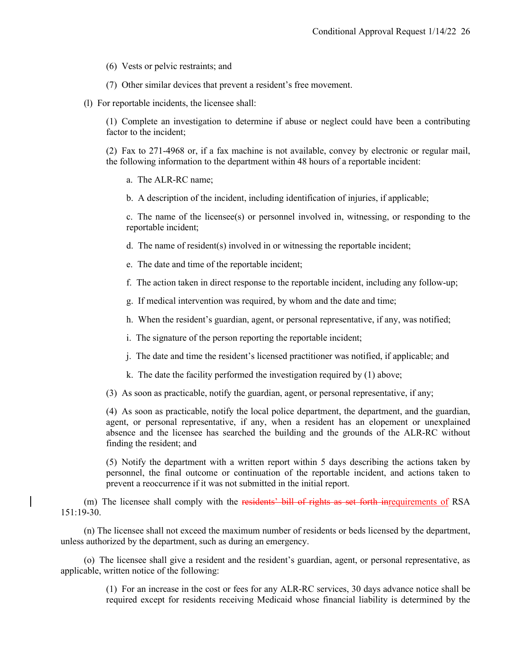- (6) Vests or pelvic restraints; and
- (7) Other similar devices that prevent a resident's free movement.
- (l) For reportable incidents, the licensee shall:

(1) Complete an investigation to determine if abuse or neglect could have been a contributing factor to the incident;

(2) Fax to 271-4968 or, if a fax machine is not available, convey by electronic or regular mail, the following information to the department within 48 hours of a reportable incident:

a. The ALR-RC name;

b. A description of the incident, including identification of injuries, if applicable;

c. The name of the licensee(s) or personnel involved in, witnessing, or responding to the reportable incident;

d. The name of resident(s) involved in or witnessing the reportable incident;

e. The date and time of the reportable incident;

- f. The action taken in direct response to the reportable incident, including any follow-up;
- g. If medical intervention was required, by whom and the date and time;
- h. When the resident's guardian, agent, or personal representative, if any, was notified;
- i. The signature of the person reporting the reportable incident;
- j. The date and time the resident's licensed practitioner was notified, if applicable; and
- k. The date the facility performed the investigation required by (1) above;
- (3) As soon as practicable, notify the guardian, agent, or personal representative, if any;

(4) As soon as practicable, notify the local police department, the department, and the guardian, agent, or personal representative, if any, when a resident has an elopement or unexplained absence and the licensee has searched the building and the grounds of the ALR-RC without finding the resident; and

(5) Notify the department with a written report within 5 days describing the actions taken by personnel, the final outcome or continuation of the reportable incident, and actions taken to prevent a reoccurrence if it was not submitted in the initial report.

(m) The licensee shall comply with the residents' bill of rights as set forth inrequirements of RSA  $151:19-30.$ 

 (n) The licensee shall not exceed the maximum number of residents or beds licensed by the department, unless authorized by the department, such as during an emergency.

 (o) The licensee shall give a resident and the resident's guardian, agent, or personal representative, as applicable, written notice of the following:

> (1) For an increase in the cost or fees for any ALR-RC services, 30 days advance notice shall be required except for residents receiving Medicaid whose financial liability is determined by the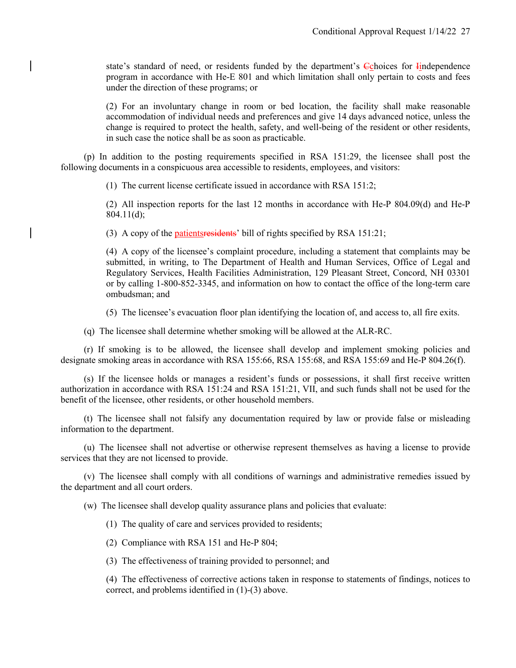state's standard of need, or residents funded by the department's Cohoices for Independence program in accordance with He-E 801 and which limitation shall only pertain to costs and fees under the direction of these programs; or

(2) For an involuntary change in room or bed location, the facility shall make reasonable accommodation of individual needs and preferences and give 14 days advanced notice, unless the change is required to protect the health, safety, and well-being of the resident or other residents, in such case the notice shall be as soon as practicable.

 (p) In addition to the posting requirements specified in RSA 151:29, the licensee shall post the following documents in a conspicuous area accessible to residents, employees, and visitors:

(1) The current license certificate issued in accordance with RSA 151:2;

(2) All inspection reports for the last 12 months in accordance with He-P 804.09(d) and He-P  $804.11(d);$ 

(3) A copy of the patientsresidents' bill of rights specified by RSA 151:21;

(4) A copy of the licensee's complaint procedure, including a statement that complaints may be submitted, in writing, to The Department of Health and Human Services, Office of Legal and Regulatory Services, Health Facilities Administration, 129 Pleasant Street, Concord, NH 03301 or by calling 1-800-852-3345, and information on how to contact the office of the long-term care ombudsman; and

(5) The licensee's evacuation floor plan identifying the location of, and access to, all fire exits.

(q) The licensee shall determine whether smoking will be allowed at the ALR-RC.

 (r) If smoking is to be allowed, the licensee shall develop and implement smoking policies and designate smoking areas in accordance with RSA 155:66, RSA 155:68, and RSA 155:69 and He-P 804.26(f).

 (s) If the licensee holds or manages a resident's funds or possessions, it shall first receive written authorization in accordance with RSA 151:24 and RSA 151:21, VII, and such funds shall not be used for the benefit of the licensee, other residents, or other household members.

 (t) The licensee shall not falsify any documentation required by law or provide false or misleading information to the department.

 (u) The licensee shall not advertise or otherwise represent themselves as having a license to provide services that they are not licensed to provide.

 (v) The licensee shall comply with all conditions of warnings and administrative remedies issued by the department and all court orders.

(w) The licensee shall develop quality assurance plans and policies that evaluate:

(1) The quality of care and services provided to residents;

(2) Compliance with RSA 151 and He-P 804;

(3) The effectiveness of training provided to personnel; and

(4) The effectiveness of corrective actions taken in response to statements of findings, notices to correct, and problems identified in (1)-(3) above.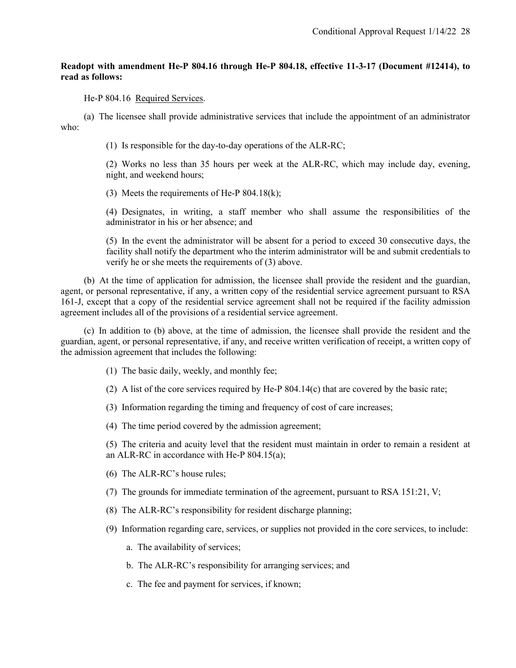### **Readopt with amendment He-P 804.16 through He-P 804.18, effective 11-3-17 (Document #12414), to read as follows:**

He-P 804.16 Required Services.

 (a) The licensee shall provide administrative services that include the appointment of an administrator who:

(1) Is responsible for the day-to-day operations of the ALR-RC;

(2) Works no less than 35 hours per week at the ALR-RC, which may include day, evening, night, and weekend hours;

(3) Meets the requirements of He-P 804.18(k);

(4) Designates, in writing, a staff member who shall assume the responsibilities of the administrator in his or her absence; and

(5) In the event the administrator will be absent for a period to exceed 30 consecutive days, the facility shall notify the department who the interim administrator will be and submit credentials to verify he or she meets the requirements of (3) above.

 (b) At the time of application for admission, the licensee shall provide the resident and the guardian, agent, or personal representative, if any, a written copy of the residential service agreement pursuant to RSA 161-J, except that a copy of the residential service agreement shall not be required if the facility admission agreement includes all of the provisions of a residential service agreement.

 (c) In addition to (b) above, at the time of admission, the licensee shall provide the resident and the guardian, agent, or personal representative, if any, and receive written verification of receipt, a written copy of the admission agreement that includes the following:

(1) The basic daily, weekly, and monthly fee;

(2) A list of the core services required by He-P 804.14(c) that are covered by the basic rate;

(3) Information regarding the timing and frequency of cost of care increases;

(4) The time period covered by the admission agreement;

(5) The criteria and acuity level that the resident must maintain in order to remain a resident at an ALR-RC in accordance with He-P 804.15(a);

(6) The ALR-RC's house rules;

(7) The grounds for immediate termination of the agreement, pursuant to RSA 151:21, V;

(8) The ALR-RC's responsibility for resident discharge planning;

(9) Information regarding care, services, or supplies not provided in the core services, to include:

a. The availability of services;

b. The ALR-RC's responsibility for arranging services; and

c. The fee and payment for services, if known;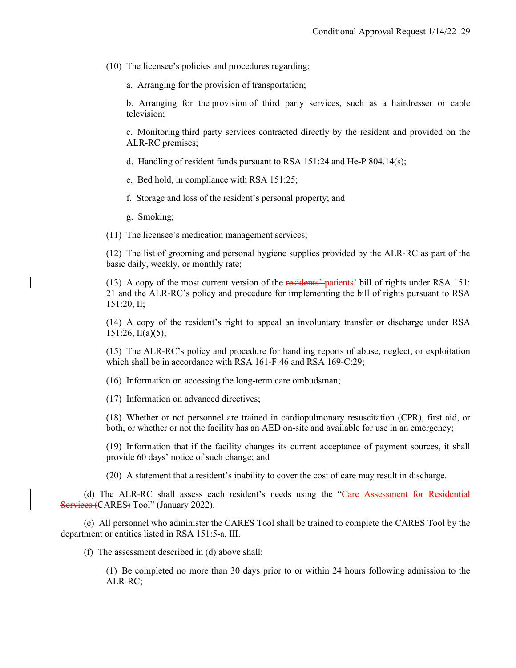- (10) The licensee's policies and procedures regarding:
	- a. Arranging for the provision of transportation;

b. Arranging for the provision of third party services, such as a hairdresser or cable television;

c. Monitoring third party services contracted directly by the resident and provided on the ALR-RC premises;

- d. Handling of resident funds pursuant to RSA 151:24 and He-P 804.14(s);
- e. Bed hold, in compliance with RSA 151:25;
- f. Storage and loss of the resident's personal property; and
- g. Smoking;
- (11) The licensee's medication management services;

(12) The list of grooming and personal hygiene supplies provided by the ALR-RC as part of the basic daily, weekly, or monthly rate;

(13) A copy of the most current version of the residents' patients' bill of rights under RSA 151: 21 and the ALR-RC's policy and procedure for implementing the bill of rights pursuant to RSA 151:20, II;

(14) A copy of the resident's right to appeal an involuntary transfer or discharge under RSA 151:26, II(a)(5);

(15) The ALR-RC's policy and procedure for handling reports of abuse, neglect, or exploitation which shall be in accordance with RSA 161-F:46 and RSA 169-C:29;

(16) Information on accessing the long-term care ombudsman;

(17) Information on advanced directives;

(18) Whether or not personnel are trained in cardiopulmonary resuscitation (CPR), first aid, or both, or whether or not the facility has an AED on-site and available for use in an emergency;

(19) Information that if the facility changes its current acceptance of payment sources, it shall provide 60 days' notice of such change; and

(20) A statement that a resident's inability to cover the cost of care may result in discharge.

(d) The ALR-RC shall assess each resident's needs using the "Care Assessment for Residential Services (CARES) Tool" (January 2022).

 (e) All personnel who administer the CARES Tool shall be trained to complete the CARES Tool by the department or entities listed in RSA 151:5-a, III.

(f) The assessment described in (d) above shall:

(1) Be completed no more than 30 days prior to or within 24 hours following admission to the ALR-RC;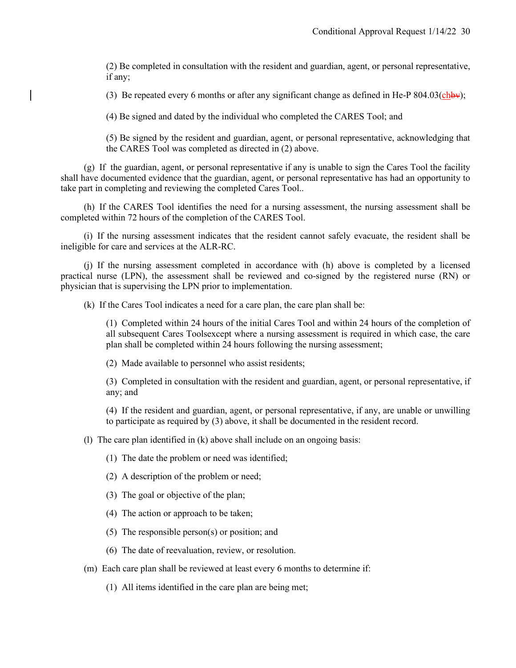(2) Be completed in consultation with the resident and guardian, agent, or personal representative, if any;

(3) Be repeated every 6 months or after any significant change as defined in He-P  $804.03$ (chbv);

(4) Be signed and dated by the individual who completed the CARES Tool; and

(5) Be signed by the resident and guardian, agent, or personal representative, acknowledging that the CARES Tool was completed as directed in (2) above.

 (g) If the guardian, agent, or personal representative if any is unable to sign the Cares Tool the facility shall have documented evidence that the guardian, agent, or personal representative has had an opportunity to take part in completing and reviewing the completed Cares Tool..

 (h) If the CARES Tool identifies the need for a nursing assessment, the nursing assessment shall be completed within 72 hours of the completion of the CARES Tool.

 (i) If the nursing assessment indicates that the resident cannot safely evacuate, the resident shall be ineligible for care and services at the ALR-RC.

 (j) If the nursing assessment completed in accordance with (h) above is completed by a licensed practical nurse (LPN), the assessment shall be reviewed and co-signed by the registered nurse (RN) or physician that is supervising the LPN prior to implementation.

(k) If the Cares Tool indicates a need for a care plan, the care plan shall be:

(1) Completed within 24 hours of the initial Cares Tool and within 24 hours of the completion of all subsequent Cares Toolsexcept where a nursing assessment is required in which case, the care plan shall be completed within 24 hours following the nursing assessment;

(2) Made available to personnel who assist residents;

(3) Completed in consultation with the resident and guardian, agent, or personal representative, if any; and

(4) If the resident and guardian, agent, or personal representative, if any, are unable or unwilling to participate as required by (3) above, it shall be documented in the resident record.

(l) The care plan identified in (k) above shall include on an ongoing basis:

(1) The date the problem or need was identified;

- (2) A description of the problem or need;
- (3) The goal or objective of the plan;
- (4) The action or approach to be taken;
- (5) The responsible person(s) or position; and
- (6) The date of reevaluation, review, or resolution.
- (m) Each care plan shall be reviewed at least every 6 months to determine if:
	- (1) All items identified in the care plan are being met;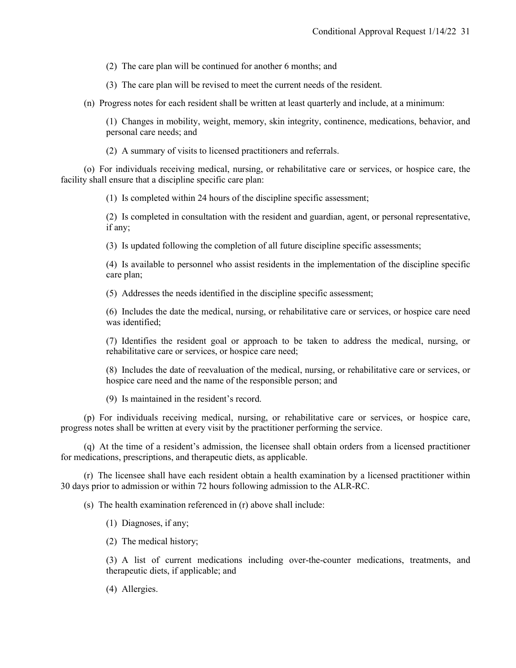(2) The care plan will be continued for another 6 months; and

(3) The care plan will be revised to meet the current needs of the resident.

(n) Progress notes for each resident shall be written at least quarterly and include, at a minimum:

(1) Changes in mobility, weight, memory, skin integrity, continence, medications, behavior, and personal care needs; and

(2) A summary of visits to licensed practitioners and referrals.

 (o) For individuals receiving medical, nursing, or rehabilitative care or services, or hospice care, the facility shall ensure that a discipline specific care plan:

(1) Is completed within 24 hours of the discipline specific assessment;

(2) Is completed in consultation with the resident and guardian, agent, or personal representative, if any;

(3) Is updated following the completion of all future discipline specific assessments;

(4) Is available to personnel who assist residents in the implementation of the discipline specific care plan;

(5) Addresses the needs identified in the discipline specific assessment;

(6) Includes the date the medical, nursing, or rehabilitative care or services, or hospice care need was identified;

(7) Identifies the resident goal or approach to be taken to address the medical, nursing, or rehabilitative care or services, or hospice care need;

(8) Includes the date of reevaluation of the medical, nursing, or rehabilitative care or services, or hospice care need and the name of the responsible person; and

(9) Is maintained in the resident's record.

 (p) For individuals receiving medical, nursing, or rehabilitative care or services, or hospice care, progress notes shall be written at every visit by the practitioner performing the service.

 (q) At the time of a resident's admission, the licensee shall obtain orders from a licensed practitioner for medications, prescriptions, and therapeutic diets, as applicable.

 (r) The licensee shall have each resident obtain a health examination by a licensed practitioner within 30 days prior to admission or within 72 hours following admission to the ALR-RC.

(s) The health examination referenced in (r) above shall include:

- (1) Diagnoses, if any;
- (2) The medical history;

(3) A list of current medications including over-the-counter medications, treatments, and therapeutic diets, if applicable; and

(4) Allergies.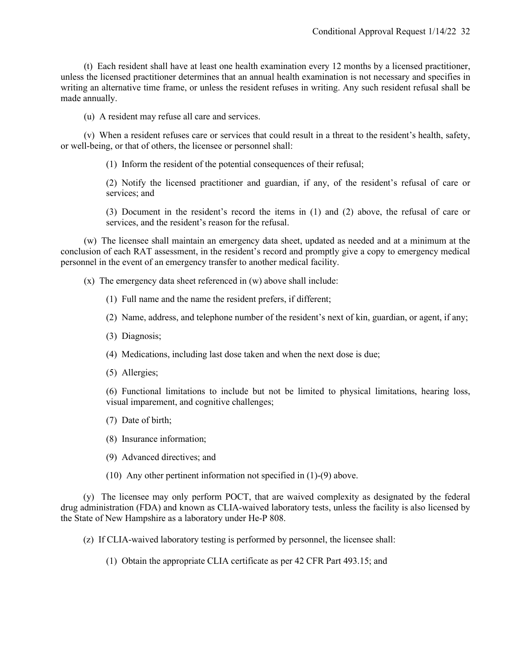(t) Each resident shall have at least one health examination every 12 months by a licensed practitioner, unless the licensed practitioner determines that an annual health examination is not necessary and specifies in writing an alternative time frame, or unless the resident refuses in writing. Any such resident refusal shall be made annually.

(u) A resident may refuse all care and services.

 (v) When a resident refuses care or services that could result in a threat to the resident's health, safety, or well-being, or that of others, the licensee or personnel shall:

(1) Inform the resident of the potential consequences of their refusal;

(2) Notify the licensed practitioner and guardian, if any, of the resident's refusal of care or services; and

(3) Document in the resident's record the items in (1) and (2) above, the refusal of care or services, and the resident's reason for the refusal.

 (w) The licensee shall maintain an emergency data sheet, updated as needed and at a minimum at the conclusion of each RAT assessment, in the resident's record and promptly give a copy to emergency medical personnel in the event of an emergency transfer to another medical facility.

(x) The emergency data sheet referenced in (w) above shall include:

- (1) Full name and the name the resident prefers, if different;
- (2) Name, address, and telephone number of the resident's next of kin, guardian, or agent, if any;
- (3) Diagnosis;
- (4) Medications, including last dose taken and when the next dose is due;
- (5) Allergies;

(6) Functional limitations to include but not be limited to physical limitations, hearing loss, visual imparement, and cognitive challenges;

- (7) Date of birth;
- (8) Insurance information;
- (9) Advanced directives; and
- (10) Any other pertinent information not specified in (1)-(9) above.

(y) The licensee may only perform POCT, that are waived complexity as designated by the federal drug administration (FDA) and known as CLIA-waived laboratory tests, unless the facility is also licensed by the State of New Hampshire as a laboratory under He-P 808.

(z) If CLIA-waived laboratory testing is performed by personnel, the licensee shall:

(1) Obtain the appropriate CLIA certificate as per 42 CFR Part 493.15; and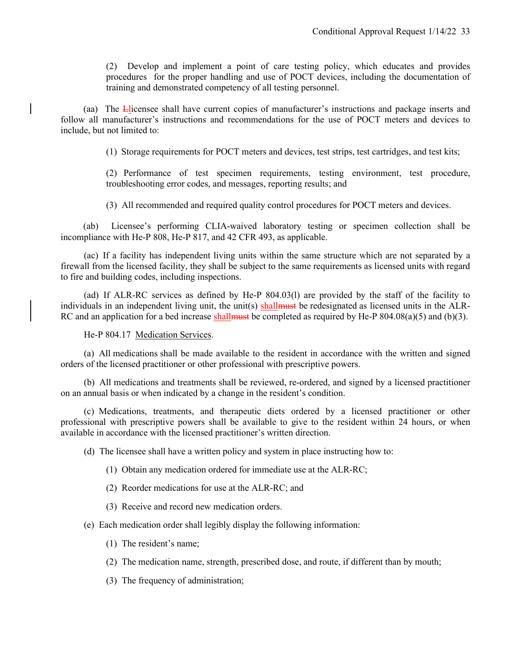(2) Develop and implement a point of care testing policy, which educates and provides procedures for the proper handling and use of POCT devices, including the documentation of training and demonstrated competency of all testing personnel.

(aa) The Llicensee shall have current copies of manufacturer's instructions and package inserts and follow all manufacturer's instructions and recommendations for the use of POCT meters and devices to include, but not limited to:

(1) Storage requirements for POCT meters and devices, test strips, test cartridges, and test kits;

(2) Performance of test specimen requirements, testing environment, test procedure, troubleshooting error codes, and messages, reporting results; and

(3) All recommended and required quality control procedures for POCT meters and devices.

(ab) Licensee's performing CLIA-waived laboratory testing or specimen collection shall be incompliance with He-P 808, He-P 817, and 42 CFR 493, as applicable.

 (ac) If a facility has independent living units within the same structure which are not separated by a firewall from the licensed facility, they shall be subject to the same requirements as licensed units with regard to fire and building codes, including inspections.

 (ad) If ALR-RC services as defined by He-P 804.03(l) are provided by the staff of the facility to individuals in an independent living unit, the unit(s) shall must be redesignated as licensed units in the ALR-RC and an application for a bed increase shall must be completed as required by He-P  $804.08(a)(5)$  and (b)(3).

He-P 804.17 Medication Services.

 (a) All medications shall be made available to the resident in accordance with the written and signed orders of the licensed practitioner or other professional with prescriptive powers.

 (b) All medications and treatments shall be reviewed, re-ordered, and signed by a licensed practitioner on an annual basis or when indicated by a change in the resident's condition.

 (c) Medications, treatments, and therapeutic diets ordered by a licensed practitioner or other professional with prescriptive powers shall be available to give to the resident within 24 hours, or when available in accordance with the licensed practitioner's written direction.

(d) The licensee shall have a written policy and system in place instructing how to:

(1) Obtain any medication ordered for immediate use at the ALR-RC;

- (2) Reorder medications for use at the ALR-RC; and
- (3) Receive and record new medication orders.

(e) Each medication order shall legibly display the following information:

- (1) The resident's name;
- (2) The medication name, strength, prescribed dose, and route, if different than by mouth;
- (3) The frequency of administration;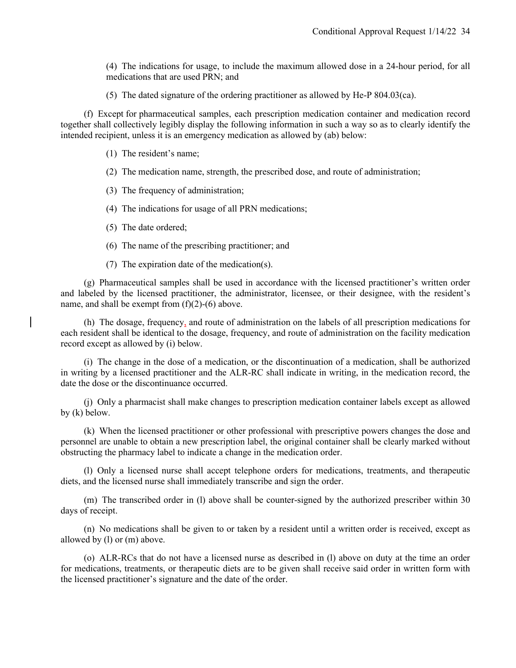(4) The indications for usage, to include the maximum allowed dose in a 24-hour period, for all medications that are used PRN; and

(5) The dated signature of the ordering practitioner as allowed by He-P 804.03(ca).

 (f) Except for pharmaceutical samples, each prescription medication container and medication record together shall collectively legibly display the following information in such a way so as to clearly identify the intended recipient, unless it is an emergency medication as allowed by (ab) below:

- (1) The resident's name;
- (2) The medication name, strength, the prescribed dose, and route of administration;
- (3) The frequency of administration;
- (4) The indications for usage of all PRN medications;
- (5) The date ordered;
- (6) The name of the prescribing practitioner; and
- (7) The expiration date of the medication(s).

 (g) Pharmaceutical samples shall be used in accordance with the licensed practitioner's written order and labeled by the licensed practitioner, the administrator, licensee, or their designee, with the resident's name, and shall be exempt from  $(f)(2)-(6)$  above.

 (h) The dosage, frequency, and route of administration on the labels of all prescription medications for each resident shall be identical to the dosage, frequency, and route of administration on the facility medication record except as allowed by (i) below.

 (i) The change in the dose of a medication, or the discontinuation of a medication, shall be authorized in writing by a licensed practitioner and the ALR-RC shall indicate in writing, in the medication record, the date the dose or the discontinuance occurred.

 (j) Only a pharmacist shall make changes to prescription medication container labels except as allowed by (k) below.

 (k) When the licensed practitioner or other professional with prescriptive powers changes the dose and personnel are unable to obtain a new prescription label, the original container shall be clearly marked without obstructing the pharmacy label to indicate a change in the medication order.

 (l) Only a licensed nurse shall accept telephone orders for medications, treatments, and therapeutic diets, and the licensed nurse shall immediately transcribe and sign the order.

 (m) The transcribed order in (l) above shall be counter-signed by the authorized prescriber within 30 days of receipt.

 (n) No medications shall be given to or taken by a resident until a written order is received, except as allowed by (l) or (m) above.

 (o) ALR-RCs that do not have a licensed nurse as described in (l) above on duty at the time an order for medications, treatments, or therapeutic diets are to be given shall receive said order in written form with the licensed practitioner's signature and the date of the order.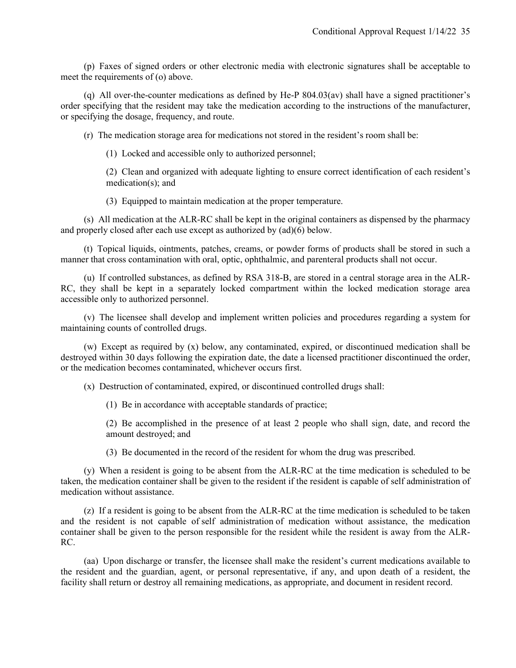(p) Faxes of signed orders or other electronic media with electronic signatures shall be acceptable to meet the requirements of (o) above.

 (q) All over-the-counter medications as defined by He-P 804.03(av) shall have a signed practitioner's order specifying that the resident may take the medication according to the instructions of the manufacturer, or specifying the dosage, frequency, and route.

(r) The medication storage area for medications not stored in the resident's room shall be:

(1) Locked and accessible only to authorized personnel;

(2) Clean and organized with adequate lighting to ensure correct identification of each resident's medication(s); and

(3) Equipped to maintain medication at the proper temperature.

 (s) All medication at the ALR-RC shall be kept in the original containers as dispensed by the pharmacy and properly closed after each use except as authorized by (ad)(6) below.

 (t) Topical liquids, ointments, patches, creams, or powder forms of products shall be stored in such a manner that cross contamination with oral, optic, ophthalmic, and parenteral products shall not occur.

 (u) If controlled substances, as defined by RSA 318-B, are stored in a central storage area in the ALR-RC, they shall be kept in a separately locked compartment within the locked medication storage area accessible only to authorized personnel.

 (v) The licensee shall develop and implement written policies and procedures regarding a system for maintaining counts of controlled drugs.

 (w) Except as required by (x) below, any contaminated, expired, or discontinued medication shall be destroyed within 30 days following the expiration date, the date a licensed practitioner discontinued the order, or the medication becomes contaminated, whichever occurs first.

(x) Destruction of contaminated, expired, or discontinued controlled drugs shall:

(1) Be in accordance with acceptable standards of practice;

(2) Be accomplished in the presence of at least 2 people who shall sign, date, and record the amount destroyed; and

(3) Be documented in the record of the resident for whom the drug was prescribed.

 (y) When a resident is going to be absent from the ALR-RC at the time medication is scheduled to be taken, the medication container shall be given to the resident if the resident is capable of self administration of medication without assistance.

 (z) If a resident is going to be absent from the ALR-RC at the time medication is scheduled to be taken and the resident is not capable of self administration of medication without assistance, the medication container shall be given to the person responsible for the resident while the resident is away from the ALR-RC.

 (aa) Upon discharge or transfer, the licensee shall make the resident's current medications available to the resident and the guardian, agent, or personal representative, if any, and upon death of a resident, the facility shall return or destroy all remaining medications, as appropriate, and document in resident record.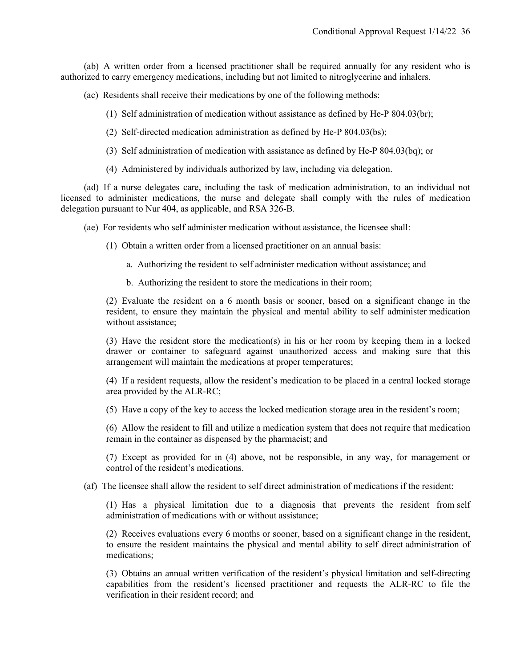(ab) A written order from a licensed practitioner shall be required annually for any resident who is authorized to carry emergency medications, including but not limited to nitroglycerine and inhalers.

(ac) Residents shall receive their medications by one of the following methods:

(1) Self administration of medication without assistance as defined by He-P 804.03(br);

- (2) Self-directed medication administration as defined by He-P 804.03(bs);
- (3) Self administration of medication with assistance as defined by He-P 804.03(bq); or
- (4) Administered by individuals authorized by law, including via delegation.

 (ad) If a nurse delegates care, including the task of medication administration, to an individual not licensed to administer medications, the nurse and delegate shall comply with the rules of medication delegation pursuant to Nur 404, as applicable, and RSA 326-B.

(ae) For residents who self administer medication without assistance, the licensee shall:

(1) Obtain a written order from a licensed practitioner on an annual basis:

- a. Authorizing the resident to self administer medication without assistance; and
- b. Authorizing the resident to store the medications in their room;

(2) Evaluate the resident on a 6 month basis or sooner, based on a significant change in the resident, to ensure they maintain the physical and mental ability to self administer medication without assistance;

(3) Have the resident store the medication(s) in his or her room by keeping them in a locked drawer or container to safeguard against unauthorized access and making sure that this arrangement will maintain the medications at proper temperatures;

(4) If a resident requests, allow the resident's medication to be placed in a central locked storage area provided by the ALR-RC;

(5) Have a copy of the key to access the locked medication storage area in the resident's room;

(6) Allow the resident to fill and utilize a medication system that does not require that medication remain in the container as dispensed by the pharmacist; and

(7) Except as provided for in (4) above, not be responsible, in any way, for management or control of the resident's medications.

(af) The licensee shall allow the resident to self direct administration of medications if the resident:

(1) Has a physical limitation due to a diagnosis that prevents the resident from self administration of medications with or without assistance;

(2) Receives evaluations every 6 months or sooner, based on a significant change in the resident, to ensure the resident maintains the physical and mental ability to self direct administration of medications;

(3) Obtains an annual written verification of the resident's physical limitation and self-directing capabilities from the resident's licensed practitioner and requests the ALR-RC to file the verification in their resident record; and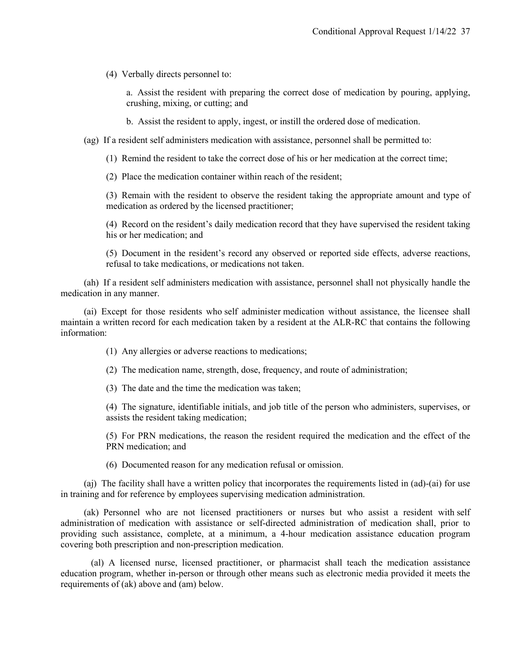(4) Verbally directs personnel to:

a. Assist the resident with preparing the correct dose of medication by pouring, applying, crushing, mixing, or cutting; and

b. Assist the resident to apply, ingest, or instill the ordered dose of medication.

(ag) If a resident self administers medication with assistance, personnel shall be permitted to:

(1) Remind the resident to take the correct dose of his or her medication at the correct time;

(2) Place the medication container within reach of the resident;

(3) Remain with the resident to observe the resident taking the appropriate amount and type of medication as ordered by the licensed practitioner;

(4) Record on the resident's daily medication record that they have supervised the resident taking his or her medication; and

(5) Document in the resident's record any observed or reported side effects, adverse reactions, refusal to take medications, or medications not taken.

 (ah) If a resident self administers medication with assistance, personnel shall not physically handle the medication in any manner.

 (ai) Except for those residents who self administer medication without assistance, the licensee shall maintain a written record for each medication taken by a resident at the ALR-RC that contains the following information:

(1) Any allergies or adverse reactions to medications;

(2) The medication name, strength, dose, frequency, and route of administration;

(3) The date and the time the medication was taken;

(4) The signature, identifiable initials, and job title of the person who administers, supervises, or assists the resident taking medication;

(5) For PRN medications, the reason the resident required the medication and the effect of the PRN medication; and

(6) Documented reason for any medication refusal or omission.

 (aj) The facility shall have a written policy that incorporates the requirements listed in (ad)-(ai) for use in training and for reference by employees supervising medication administration.

 (ak) Personnel who are not licensed practitioners or nurses but who assist a resident with self administration of medication with assistance or self-directed administration of medication shall, prior to providing such assistance, complete, at a minimum, a 4-hour medication assistance education program covering both prescription and non-prescription medication.

(al) A licensed nurse, licensed practitioner, or pharmacist shall teach the medication assistance education program, whether in-person or through other means such as electronic media provided it meets the requirements of (ak) above and (am) below.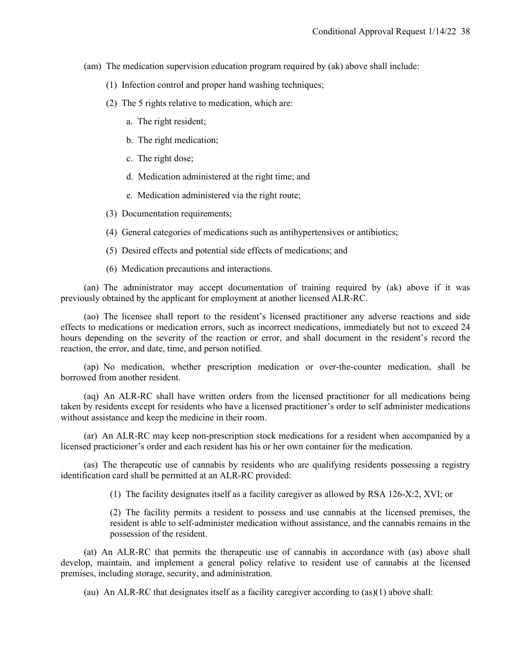- (am) The medication supervision education program required by (ak) above shall include:
	- (1) Infection control and proper hand washing techniques;
	- (2) The 5 rights relative to medication, which are:
		- a. The right resident;
		- b. The right medication;
		- c. The right dose;
		- d. Medication administered at the right time; and
		- e. Medication administered via the right route;
	- (3) Documentation requirements;
	- (4) General categories of medications such as antihypertensives or antibiotics;
	- (5) Desired effects and potential side effects of medications; and
	- (6) Medication precautions and interactions.

 (an) The administrator may accept documentation of training required by (ak) above if it was previously obtained by the applicant for employment at another licensed ALR-RC.

 (ao) The licensee shall report to the resident's licensed practitioner any adverse reactions and side effects to medications or medication errors, such as incorrect medications, immediately but not to exceed 24 hours depending on the severity of the reaction or error, and shall document in the resident's record the reaction, the error, and date, time, and person notified.

 (ap) No medication, whether prescription medication or over-the-counter medication, shall be borrowed from another resident.

 (aq) An ALR-RC shall have written orders from the licensed practitioner for all medications being taken by residents except for residents who have a licensed practitioner's order to self administer medications without assistance and keep the medicine in their room.

 (ar) An ALR-RC may keep non-prescription stock medications for a resident when accompanied by a licensed practicioner's order and each resident has his or her own container for the medication.

 (as) The therapeutic use of cannabis by residents who are qualifying residents possessing a registry identification card shall be permitted at an ALR-RC provided:

(1) The facility designates itself as a facility caregiver as allowed by RSA 126-X:2, XVI; or

(2) The facility permits a resident to possess and use cannabis at the licensed premises, the resident is able to self-administer medication without assistance, and the cannabis remains in the possession of the resident.

 (at) An ALR-RC that permits the therapeutic use of cannabis in accordance with (as) above shall develop, maintain, and implement a general policy relative to resident use of cannabis at the licensed premises, including storage, security, and administration.

(au) An ALR-RC that designates itself as a facility caregiver according to (as)(1) above shall: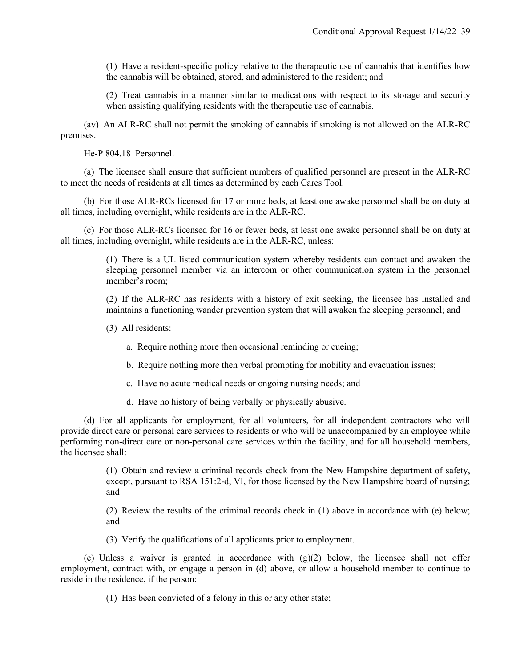(1) Have a resident-specific policy relative to the therapeutic use of cannabis that identifies how the cannabis will be obtained, stored, and administered to the resident; and

(2) Treat cannabis in a manner similar to medications with respect to its storage and security when assisting qualifying residents with the therapeutic use of cannabis.

 (av) An ALR-RC shall not permit the smoking of cannabis if smoking is not allowed on the ALR-RC premises.

He-P 804.18 Personnel.

 (a) The licensee shall ensure that sufficient numbers of qualified personnel are present in the ALR-RC to meet the needs of residents at all times as determined by each Cares Tool.

 (b) For those ALR-RCs licensed for 17 or more beds, at least one awake personnel shall be on duty at all times, including overnight, while residents are in the ALR-RC.

 (c) For those ALR-RCs licensed for 16 or fewer beds, at least one awake personnel shall be on duty at all times, including overnight, while residents are in the ALR-RC, unless:

> (1) There is a UL listed communication system whereby residents can contact and awaken the sleeping personnel member via an intercom or other communication system in the personnel member's room;

> (2) If the ALR-RC has residents with a history of exit seeking, the licensee has installed and maintains a functioning wander prevention system that will awaken the sleeping personnel; and

(3) All residents:

a. Require nothing more then occasional reminding or cueing;

b. Require nothing more then verbal prompting for mobility and evacuation issues;

c. Have no acute medical needs or ongoing nursing needs; and

d. Have no history of being verbally or physically abusive.

 (d) For all applicants for employment, for all volunteers, for all independent contractors who will provide direct care or personal care services to residents or who will be unaccompanied by an employee while performing non-direct care or non-personal care services within the facility, and for all household members, the licensee shall:

> (1) Obtain and review a criminal records check from the New Hampshire department of safety, except, pursuant to RSA 151:2-d, VI, for those licensed by the New Hampshire board of nursing; and

> (2) Review the results of the criminal records check in (1) above in accordance with (e) below; and

(3) Verify the qualifications of all applicants prior to employment.

(e) Unless a waiver is granted in accordance with  $(g)(2)$  below, the licensee shall not offer employment, contract with, or engage a person in (d) above, or allow a household member to continue to reside in the residence, if the person:

(1) Has been convicted of a felony in this or any other state;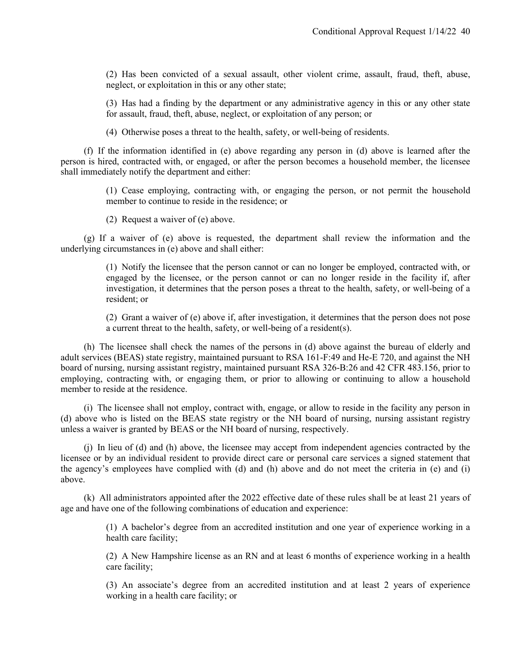(2) Has been convicted of a sexual assault, other violent crime, assault, fraud, theft, abuse, neglect, or exploitation in this or any other state;

(3) Has had a finding by the department or any administrative agency in this or any other state for assault, fraud, theft, abuse, neglect, or exploitation of any person; or

(4) Otherwise poses a threat to the health, safety, or well-being of residents.

 (f) If the information identified in (e) above regarding any person in (d) above is learned after the person is hired, contracted with, or engaged, or after the person becomes a household member, the licensee shall immediately notify the department and either:

> (1) Cease employing, contracting with, or engaging the person, or not permit the household member to continue to reside in the residence; or

(2) Request a waiver of (e) above.

 (g) If a waiver of (e) above is requested, the department shall review the information and the underlying circumstances in (e) above and shall either:

> (1) Notify the licensee that the person cannot or can no longer be employed, contracted with, or engaged by the licensee, or the person cannot or can no longer reside in the facility if, after investigation, it determines that the person poses a threat to the health, safety, or well-being of a resident; or

> (2) Grant a waiver of (e) above if, after investigation, it determines that the person does not pose a current threat to the health, safety, or well-being of a resident(s).

 (h) The licensee shall check the names of the persons in (d) above against the bureau of elderly and adult services (BEAS) state registry, maintained pursuant to RSA 161-F:49 and He-E 720, and against the NH board of nursing, nursing assistant registry, maintained pursuant RSA 326-B:26 and 42 CFR 483.156, prior to employing, contracting with, or engaging them, or prior to allowing or continuing to allow a household member to reside at the residence.

 (i) The licensee shall not employ, contract with, engage, or allow to reside in the facility any person in (d) above who is listed on the BEAS state registry or the NH board of nursing, nursing assistant registry unless a waiver is granted by BEAS or the NH board of nursing, respectively.

 (j) In lieu of (d) and (h) above, the licensee may accept from independent agencies contracted by the licensee or by an individual resident to provide direct care or personal care services a signed statement that the agency's employees have complied with (d) and (h) above and do not meet the criteria in (e) and (i) above.

 (k) All administrators appointed after the 2022 effective date of these rules shall be at least 21 years of age and have one of the following combinations of education and experience:

> (1) A bachelor's degree from an accredited institution and one year of experience working in a health care facility;

> (2) A New Hampshire license as an RN and at least 6 months of experience working in a health care facility;

> (3) An associate's degree from an accredited institution and at least 2 years of experience working in a health care facility; or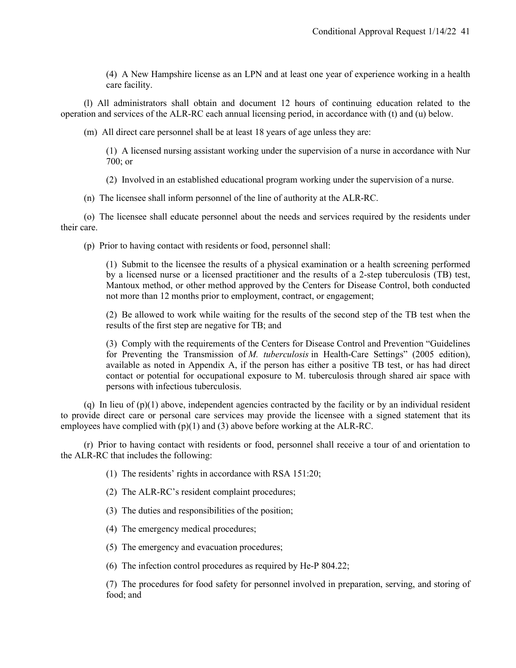(4) A New Hampshire license as an LPN and at least one year of experience working in a health care facility.

 (l) All administrators shall obtain and document 12 hours of continuing education related to the operation and services of the ALR-RC each annual licensing period, in accordance with (t) and (u) below.

(m) All direct care personnel shall be at least 18 years of age unless they are:

(1) A licensed nursing assistant working under the supervision of a nurse in accordance with Nur 700; or

(2) Involved in an established educational program working under the supervision of a nurse.

(n) The licensee shall inform personnel of the line of authority at the ALR-RC.

 (o) The licensee shall educate personnel about the needs and services required by the residents under their care.

(p) Prior to having contact with residents or food, personnel shall:

(1) Submit to the licensee the results of a physical examination or a health screening performed by a licensed nurse or a licensed practitioner and the results of a 2-step tuberculosis (TB) test, Mantoux method, or other method approved by the Centers for Disease Control, both conducted not more than 12 months prior to employment, contract, or engagement;

(2) Be allowed to work while waiting for the results of the second step of the TB test when the results of the first step are negative for TB; and

(3) Comply with the requirements of the Centers for Disease Control and Prevention "Guidelines for Preventing the Transmission of *M. tuberculosis* in Health-Care Settings" (2005 edition), available as noted in Appendix A, if the person has either a positive TB test, or has had direct contact or potential for occupational exposure to M. tuberculosis through shared air space with persons with infectious tuberculosis.

(q) In lieu of  $(p)(1)$  above, independent agencies contracted by the facility or by an individual resident to provide direct care or personal care services may provide the licensee with a signed statement that its employees have complied with (p)(1) and (3) above before working at the ALR-RC.

 (r) Prior to having contact with residents or food, personnel shall receive a tour of and orientation to the ALR-RC that includes the following:

(1) The residents' rights in accordance with RSA 151:20;

(2) The ALR-RC's resident complaint procedures;

(3) The duties and responsibilities of the position;

(4) The emergency medical procedures;

(5) The emergency and evacuation procedures;

(6) The infection control procedures as required by He-P 804.22;

(7) The procedures for food safety for personnel involved in preparation, serving, and storing of food; and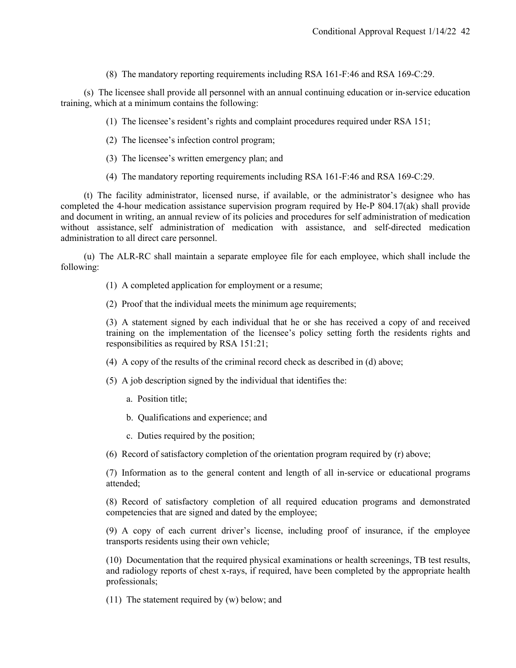(8) The mandatory reporting requirements including RSA 161-F:46 and RSA 169-C:29.

 (s) The licensee shall provide all personnel with an annual continuing education or in-service education training, which at a minimum contains the following:

- (1) The licensee's resident's rights and complaint procedures required under RSA 151;
- (2) The licensee's infection control program;
- (3) The licensee's written emergency plan; and
- (4) The mandatory reporting requirements including RSA 161-F:46 and RSA 169-C:29.

 (t) The facility administrator, licensed nurse, if available, or the administrator's designee who has completed the 4-hour medication assistance supervision program required by He-P 804.17(ak) shall provide and document in writing, an annual review of its policies and procedures for self administration of medication without assistance, self administration of medication with assistance, and self-directed medication administration to all direct care personnel.

 (u) The ALR-RC shall maintain a separate employee file for each employee, which shall include the following:

- (1) A completed application for employment or a resume;
- (2) Proof that the individual meets the minimum age requirements;

(3) A statement signed by each individual that he or she has received a copy of and received training on the implementation of the licensee's policy setting forth the residents rights and responsibilities as required by RSA 151:21;

- (4) A copy of the results of the criminal record check as described in (d) above;
- (5) A job description signed by the individual that identifies the:
	- a. Position title;
	- b. Qualifications and experience; and
	- c. Duties required by the position;
- (6) Record of satisfactory completion of the orientation program required by (r) above;

(7) Information as to the general content and length of all in-service or educational programs attended;

(8) Record of satisfactory completion of all required education programs and demonstrated competencies that are signed and dated by the employee;

(9) A copy of each current driver's license, including proof of insurance, if the employee transports residents using their own vehicle;

(10) Documentation that the required physical examinations or health screenings, TB test results, and radiology reports of chest x-rays, if required, have been completed by the appropriate health professionals;

(11) The statement required by (w) below; and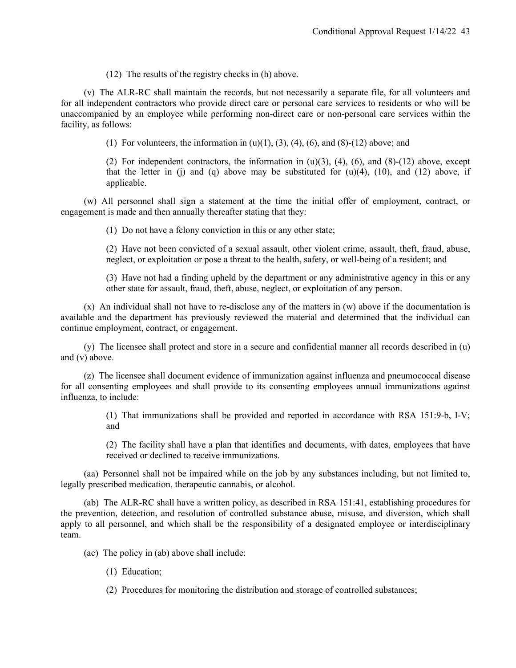(12) The results of the registry checks in (h) above.

 (v) The ALR-RC shall maintain the records, but not necessarily a separate file, for all volunteers and for all independent contractors who provide direct care or personal care services to residents or who will be unaccompanied by an employee while performing non-direct care or non-personal care services within the facility, as follows:

(1) For volunteers, the information in  $(u)(1)$ ,  $(3)$ ,  $(4)$ ,  $(6)$ , and  $(8)-(12)$  above; and

(2) For independent contractors, the information in  $(u)(3)$ ,  $(4)$ ,  $(6)$ , and  $(8)-(12)$  above, except that the letter in (j) and (q) above may be substituted for  $(u)(4)$ ,  $(10)$ , and  $(12)$  above, if applicable.

 (w) All personnel shall sign a statement at the time the initial offer of employment, contract, or engagement is made and then annually thereafter stating that they:

(1) Do not have a felony conviction in this or any other state;

(2) Have not been convicted of a sexual assault, other violent crime, assault, theft, fraud, abuse, neglect, or exploitation or pose a threat to the health, safety, or well-being of a resident; and

(3) Have not had a finding upheld by the department or any administrative agency in this or any other state for assault, fraud, theft, abuse, neglect, or exploitation of any person.

 (x) An individual shall not have to re-disclose any of the matters in (w) above if the documentation is available and the department has previously reviewed the material and determined that the individual can continue employment, contract, or engagement.

 (y) The licensee shall protect and store in a secure and confidential manner all records described in (u) and (v) above.

 (z) The licensee shall document evidence of immunization against influenza and pneumococcal disease for all consenting employees and shall provide to its consenting employees annual immunizations against influenza, to include:

> (1) That immunizations shall be provided and reported in accordance with RSA 151:9-b, I-V; and

> (2) The facility shall have a plan that identifies and documents, with dates, employees that have received or declined to receive immunizations.

 (aa) Personnel shall not be impaired while on the job by any substances including, but not limited to, legally prescribed medication, therapeutic cannabis, or alcohol.

 (ab) The ALR-RC shall have a written policy, as described in RSA 151:41, establishing procedures for the prevention, detection, and resolution of controlled substance abuse, misuse, and diversion, which shall apply to all personnel, and which shall be the responsibility of a designated employee or interdisciplinary team.

(ac) The policy in (ab) above shall include:

- (1) Education;
- (2) Procedures for monitoring the distribution and storage of controlled substances;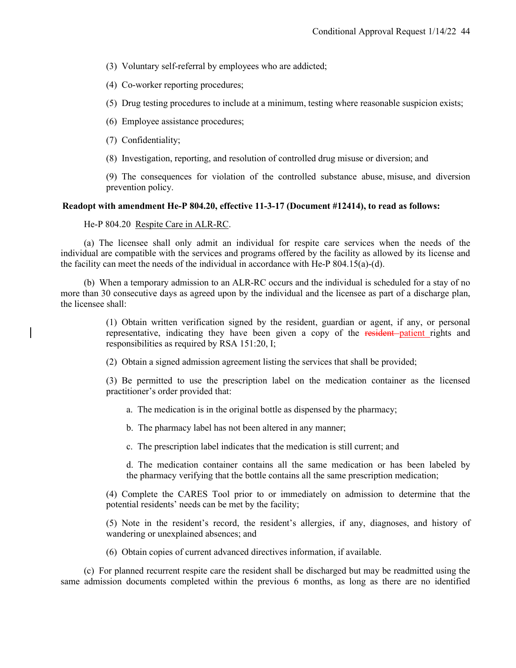- (3) Voluntary self-referral by employees who are addicted;
- (4) Co-worker reporting procedures;
- (5) Drug testing procedures to include at a minimum, testing where reasonable suspicion exists;
- (6) Employee assistance procedures;
- (7) Confidentiality;
- (8) Investigation, reporting, and resolution of controlled drug misuse or diversion; and

(9) The consequences for violation of the controlled substance abuse, misuse, and diversion prevention policy.

### **Readopt with amendment He-P 804.20, effective 11-3-17 (Document #12414), to read as follows:**

He-P 804.20 Respite Care in ALR-RC.

 (a) The licensee shall only admit an individual for respite care services when the needs of the individual are compatible with the services and programs offered by the facility as allowed by its license and the facility can meet the needs of the individual in accordance with He-P 804.15(a)-(d).

 (b) When a temporary admission to an ALR-RC occurs and the individual is scheduled for a stay of no more than 30 consecutive days as agreed upon by the individual and the licensee as part of a discharge plan, the licensee shall:

> (1) Obtain written verification signed by the resident, guardian or agent, if any, or personal representative, indicating they have been given a copy of the resident patient rights and responsibilities as required by RSA 151:20, I;

(2) Obtain a signed admission agreement listing the services that shall be provided;

(3) Be permitted to use the prescription label on the medication container as the licensed practitioner's order provided that:

- a. The medication is in the original bottle as dispensed by the pharmacy;
- b. The pharmacy label has not been altered in any manner;
- c. The prescription label indicates that the medication is still current; and

d. The medication container contains all the same medication or has been labeled by the pharmacy verifying that the bottle contains all the same prescription medication;

(4) Complete the CARES Tool prior to or immediately on admission to determine that the potential residents' needs can be met by the facility;

(5) Note in the resident's record, the resident's allergies, if any, diagnoses, and history of wandering or unexplained absences; and

(6) Obtain copies of current advanced directives information, if available.

 (c) For planned recurrent respite care the resident shall be discharged but may be readmitted using the same admission documents completed within the previous 6 months, as long as there are no identified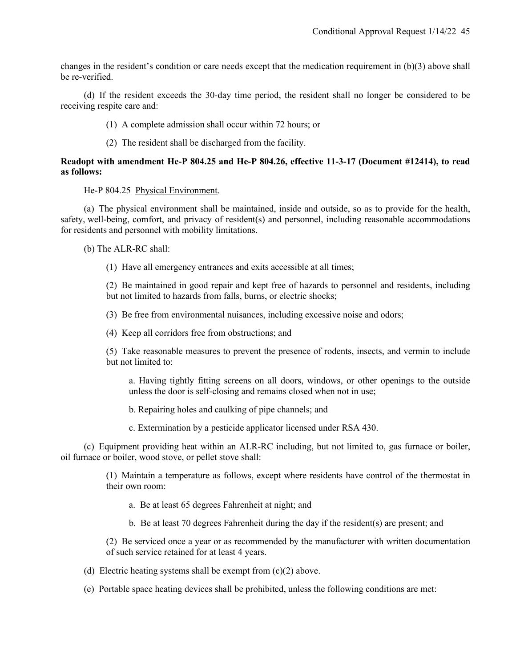changes in the resident's condition or care needs except that the medication requirement in (b)(3) above shall be re-verified.

 (d) If the resident exceeds the 30-day time period, the resident shall no longer be considered to be receiving respite care and:

(1) A complete admission shall occur within 72 hours; or

(2) The resident shall be discharged from the facility.

### **Readopt with amendment He-P 804.25 and He-P 804.26, effective 11-3-17 (Document #12414), to read as follows:**

He-P 804.25 Physical Environment.

 (a) The physical environment shall be maintained, inside and outside, so as to provide for the health, safety, well-being, comfort, and privacy of resident(s) and personnel, including reasonable accommodations for residents and personnel with mobility limitations.

(b) The ALR-RC shall:

(1) Have all emergency entrances and exits accessible at all times;

(2) Be maintained in good repair and kept free of hazards to personnel and residents, including but not limited to hazards from falls, burns, or electric shocks;

(3) Be free from environmental nuisances, including excessive noise and odors;

(4) Keep all corridors free from obstructions; and

(5) Take reasonable measures to prevent the presence of rodents, insects, and vermin to include but not limited to:

a. Having tightly fitting screens on all doors, windows, or other openings to the outside unless the door is self-closing and remains closed when not in use;

b. Repairing holes and caulking of pipe channels; and

c. Extermination by a pesticide applicator licensed under RSA 430.

 (c) Equipment providing heat within an ALR-RC including, but not limited to, gas furnace or boiler, oil furnace or boiler, wood stove, or pellet stove shall:

> (1) Maintain a temperature as follows, except where residents have control of the thermostat in their own room:

a. Be at least 65 degrees Fahrenheit at night; and

b. Be at least 70 degrees Fahrenheit during the day if the resident(s) are present; and

(2) Be serviced once a year or as recommended by the manufacturer with written documentation of such service retained for at least 4 years.

(d) Electric heating systems shall be exempt from  $(c)(2)$  above.

(e) Portable space heating devices shall be prohibited, unless the following conditions are met: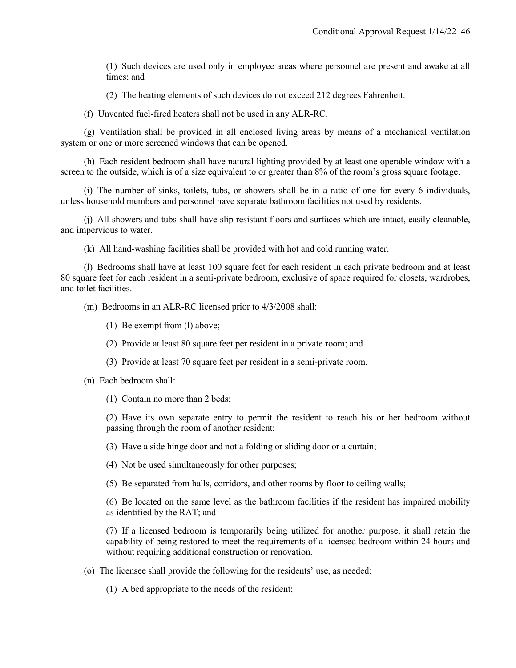(1) Such devices are used only in employee areas where personnel are present and awake at all times; and

(2) The heating elements of such devices do not exceed 212 degrees Fahrenheit.

(f) Unvented fuel-fired heaters shall not be used in any ALR-RC.

 (g) Ventilation shall be provided in all enclosed living areas by means of a mechanical ventilation system or one or more screened windows that can be opened.

 (h) Each resident bedroom shall have natural lighting provided by at least one operable window with a screen to the outside, which is of a size equivalent to or greater than 8% of the room's gross square footage.

 (i) The number of sinks, toilets, tubs, or showers shall be in a ratio of one for every 6 individuals, unless household members and personnel have separate bathroom facilities not used by residents.

 (j) All showers and tubs shall have slip resistant floors and surfaces which are intact, easily cleanable, and impervious to water.

(k) All hand-washing facilities shall be provided with hot and cold running water.

 (l) Bedrooms shall have at least 100 square feet for each resident in each private bedroom and at least 80 square feet for each resident in a semi-private bedroom, exclusive of space required for closets, wardrobes, and toilet facilities.

(m) Bedrooms in an ALR-RC licensed prior to 4/3/2008 shall:

(1) Be exempt from (l) above;

(2) Provide at least 80 square feet per resident in a private room; and

- (3) Provide at least 70 square feet per resident in a semi-private room.
- (n) Each bedroom shall:
	- (1) Contain no more than 2 beds;

(2) Have its own separate entry to permit the resident to reach his or her bedroom without passing through the room of another resident;

(3) Have a side hinge door and not a folding or sliding door or a curtain;

(4) Not be used simultaneously for other purposes;

(5) Be separated from halls, corridors, and other rooms by floor to ceiling walls;

(6) Be located on the same level as the bathroom facilities if the resident has impaired mobility as identified by the RAT; and

(7) If a licensed bedroom is temporarily being utilized for another purpose, it shall retain the capability of being restored to meet the requirements of a licensed bedroom within 24 hours and without requiring additional construction or renovation.

(o) The licensee shall provide the following for the residents' use, as needed:

(1) A bed appropriate to the needs of the resident;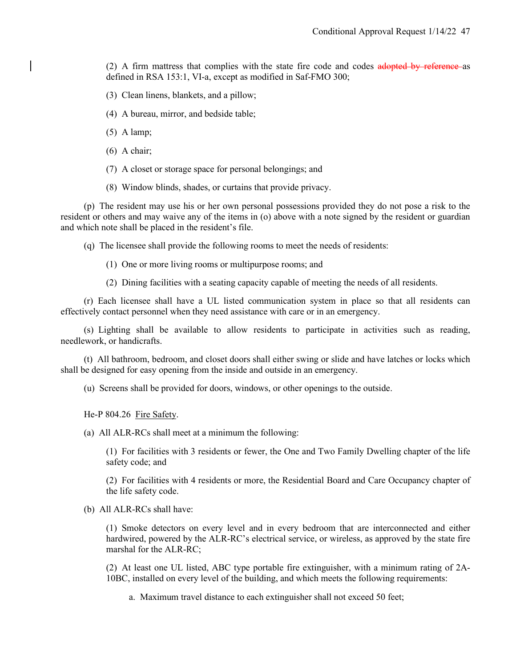(2) A firm mattress that complies with the state fire code and codes adopted by reference as defined in RSA 153:1, VI-a, except as modified in Saf-FMO 300;

(3) Clean linens, blankets, and a pillow;

- (4) A bureau, mirror, and bedside table;
- (5) A lamp;
- (6) A chair;
- (7) A closet or storage space for personal belongings; and
- (8) Window blinds, shades, or curtains that provide privacy.

 (p) The resident may use his or her own personal possessions provided they do not pose a risk to the resident or others and may waive any of the items in (o) above with a note signed by the resident or guardian and which note shall be placed in the resident's file.

- (q) The licensee shall provide the following rooms to meet the needs of residents:
	- (1) One or more living rooms or multipurpose rooms; and
	- (2) Dining facilities with a seating capacity capable of meeting the needs of all residents.

 (r) Each licensee shall have a UL listed communication system in place so that all residents can effectively contact personnel when they need assistance with care or in an emergency.

 (s) Lighting shall be available to allow residents to participate in activities such as reading, needlework, or handicrafts.

 (t) All bathroom, bedroom, and closet doors shall either swing or slide and have latches or locks which shall be designed for easy opening from the inside and outside in an emergency.

(u) Screens shall be provided for doors, windows, or other openings to the outside.

He-P 804.26 Fire Safety.

(a) All ALR-RCs shall meet at a minimum the following:

(1) For facilities with 3 residents or fewer, the One and Two Family Dwelling chapter of the life safety code; and

(2) For facilities with 4 residents or more, the Residential Board and Care Occupancy chapter of the life safety code.

(b) All ALR-RCs shall have:

(1) Smoke detectors on every level and in every bedroom that are interconnected and either hardwired, powered by the ALR-RC's electrical service, or wireless, as approved by the state fire marshal for the ALR-RC;

(2) At least one UL listed, ABC type portable fire extinguisher, with a minimum rating of 2A-10BC, installed on every level of the building, and which meets the following requirements:

a. Maximum travel distance to each extinguisher shall not exceed 50 feet;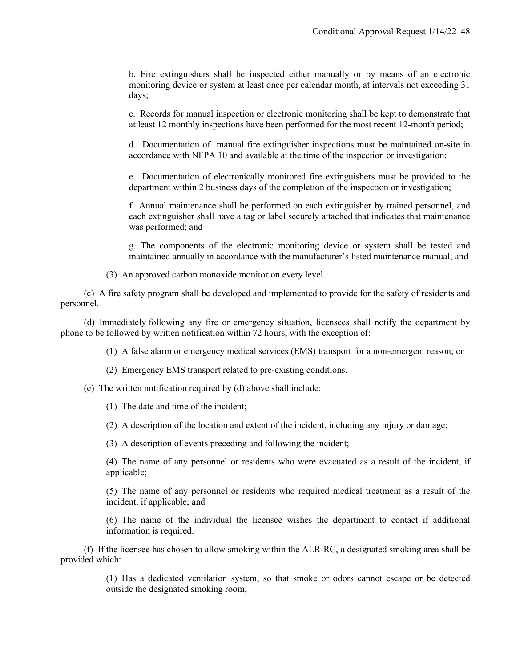b. Fire extinguishers shall be inspected either manually or by means of an electronic monitoring device or system at least once per calendar month, at intervals not exceeding 31 days;

c. Records for manual inspection or electronic monitoring shall be kept to demonstrate that at least 12 monthly inspections have been performed for the most recent 12-month period;

d. Documentation of manual fire extinguisher inspections must be maintained on-site in accordance with NFPA 10 and available at the time of the inspection or investigation;

e. Documentation of electronically monitored fire extinguishers must be provided to the department within 2 business days of the completion of the inspection or investigation;

f. Annual maintenance shall be performed on each extinguisher by trained personnel, and each extinguisher shall have a tag or label securely attached that indicates that maintenance was performed; and

g. The components of the electronic monitoring device or system shall be tested and maintained annually in accordance with the manufacturer's listed maintenance manual; and

(3) An approved carbon monoxide monitor on every level.

 (c) A fire safety program shall be developed and implemented to provide for the safety of residents and personnel.

 (d) Immediately following any fire or emergency situation, licensees shall notify the department by phone to be followed by written notification within 72 hours, with the exception of:

(1) A false alarm or emergency medical services (EMS) transport for a non-emergent reason; or

(2) Emergency EMS transport related to pre-existing conditions.

(e) The written notification required by (d) above shall include:

(1) The date and time of the incident;

(2) A description of the location and extent of the incident, including any injury or damage;

(3) A description of events preceding and following the incident;

(4) The name of any personnel or residents who were evacuated as a result of the incident, if applicable;

(5) The name of any personnel or residents who required medical treatment as a result of the incident, if applicable; and

(6) The name of the individual the licensee wishes the department to contact if additional information is required.

 (f) If the licensee has chosen to allow smoking within the ALR-RC, a designated smoking area shall be provided which:

> (1) Has a dedicated ventilation system, so that smoke or odors cannot escape or be detected outside the designated smoking room;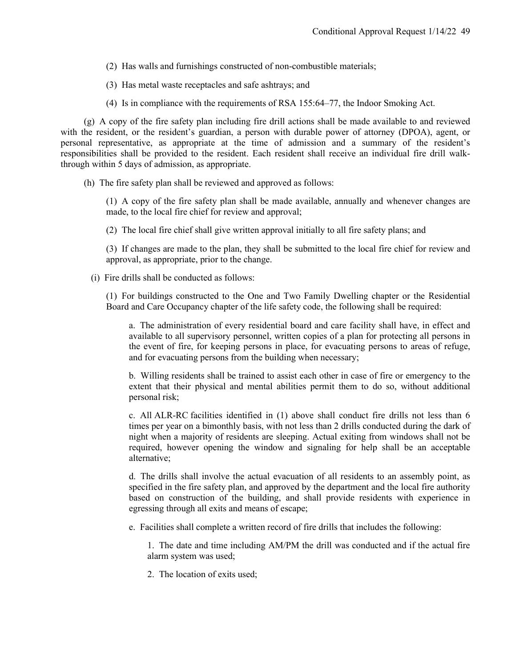- (2) Has walls and furnishings constructed of non-combustible materials;
- (3) Has metal waste receptacles and safe ashtrays; and
- (4) Is in compliance with the requirements of RSA 155:64–77, the Indoor Smoking Act.

 (g) A copy of the fire safety plan including fire drill actions shall be made available to and reviewed with the resident, or the resident's guardian, a person with durable power of attorney (DPOA), agent, or personal representative, as appropriate at the time of admission and a summary of the resident's responsibilities shall be provided to the resident. Each resident shall receive an individual fire drill walkthrough within 5 days of admission, as appropriate.

(h) The fire safety plan shall be reviewed and approved as follows:

(1) A copy of the fire safety plan shall be made available, annually and whenever changes are made, to the local fire chief for review and approval;

(2) The local fire chief shall give written approval initially to all fire safety plans; and

(3) If changes are made to the plan, they shall be submitted to the local fire chief for review and approval, as appropriate, prior to the change.

(i) Fire drills shall be conducted as follows:

(1) For buildings constructed to the One and Two Family Dwelling chapter or the Residential Board and Care Occupancy chapter of the life safety code, the following shall be required:

a. The administration of every residential board and care facility shall have, in effect and available to all supervisory personnel, written copies of a plan for protecting all persons in the event of fire, for keeping persons in place, for evacuating persons to areas of refuge, and for evacuating persons from the building when necessary;

b. Willing residents shall be trained to assist each other in case of fire or emergency to the extent that their physical and mental abilities permit them to do so, without additional personal risk;

c. All ALR-RC facilities identified in (1) above shall conduct fire drills not less than 6 times per year on a bimonthly basis, with not less than 2 drills conducted during the dark of night when a majority of residents are sleeping. Actual exiting from windows shall not be required, however opening the window and signaling for help shall be an acceptable alternative;

d. The drills shall involve the actual evacuation of all residents to an assembly point, as specified in the fire safety plan, and approved by the department and the local fire authority based on construction of the building, and shall provide residents with experience in egressing through all exits and means of escape;

e. Facilities shall complete a written record of fire drills that includes the following:

1. The date and time including AM/PM the drill was conducted and if the actual fire alarm system was used;

2. The location of exits used;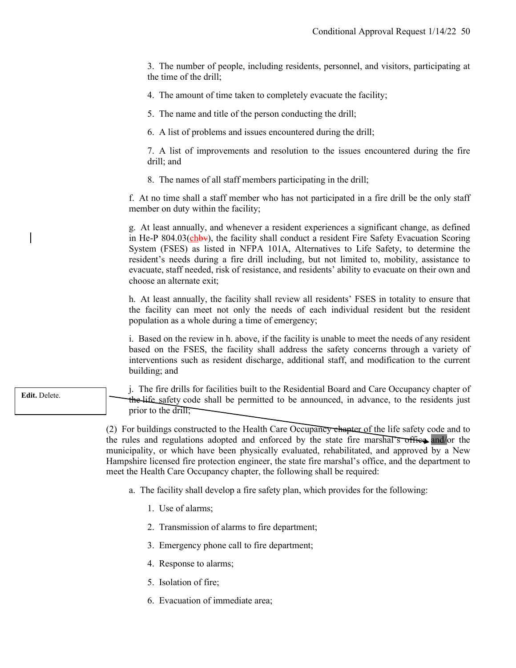3. The number of people, including residents, personnel, and visitors, participating at the time of the drill;

4. The amount of time taken to completely evacuate the facility;

5. The name and title of the person conducting the drill;

6. A list of problems and issues encountered during the drill;

7. A list of improvements and resolution to the issues encountered during the fire drill; and

8. The names of all staff members participating in the drill;

f. At no time shall a staff member who has not participated in a fire drill be the only staff member on duty within the facility;

g. At least annually, and whenever a resident experiences a significant change, as defined in He-P  $804.03$ (chbv), the facility shall conduct a resident Fire Safety Evacuation Scoring System (FSES) as listed in NFPA 101A, Alternatives to Life Safety, to determine the resident's needs during a fire drill including, but not limited to, mobility, assistance to evacuate, staff needed, risk of resistance, and residents' ability to evacuate on their own and choose an alternate exit;

h. At least annually, the facility shall review all residents' FSES in totality to ensure that the facility can meet not only the needs of each individual resident but the resident population as a whole during a time of emergency;

i. Based on the review in h. above, if the facility is unable to meet the needs of any resident based on the FSES, the facility shall address the safety concerns through a variety of interventions such as resident discharge, additional staff, and modification to the current building; and

j. The fire drills for facilities built to the Residential Board and Care Occupancy chapter of the life safety code shall be permitted to be announced, in advance, to the residents just prior to the drill;

(2) For buildings constructed to the Health Care Occupancy chapter of the life safety code and to the rules and regulations adopted and enforced by the state fire marshal's office and/or the municipality, or which have been physically evaluated, rehabilitated, and approved by a New Hampshire licensed fire protection engineer, the state fire marshal's office, and the department to meet the Health Care Occupancy chapter, the following shall be required:

- a. The facility shall develop a fire safety plan, which provides for the following:
	- 1. Use of alarms;

**Edit.** Delete.

- 2. Transmission of alarms to fire department;
- 3. Emergency phone call to fire department;
- 4. Response to alarms;
- 5. Isolation of fire;
- 6. Evacuation of immediate area;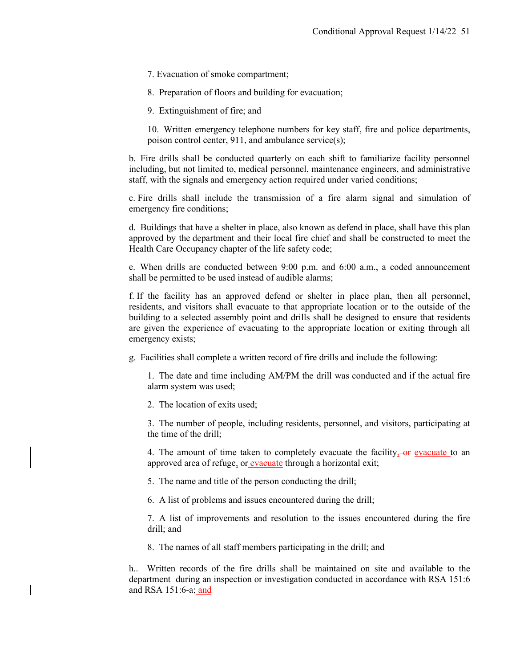- 7. Evacuation of smoke compartment;
- 8. Preparation of floors and building for evacuation;
- 9. Extinguishment of fire; and

10. Written emergency telephone numbers for key staff, fire and police departments, poison control center, 911, and ambulance service(s);

b. Fire drills shall be conducted quarterly on each shift to familiarize facility personnel including, but not limited to, medical personnel, maintenance engineers, and administrative staff, with the signals and emergency action required under varied conditions;

c. Fire drills shall include the transmission of a fire alarm signal and simulation of emergency fire conditions;

d. Buildings that have a shelter in place, also known as defend in place, shall have this plan approved by the department and their local fire chief and shall be constructed to meet the Health Care Occupancy chapter of the life safety code;

e. When drills are conducted between 9:00 p.m. and 6:00 a.m., a coded announcement shall be permitted to be used instead of audible alarms;

f. If the facility has an approved defend or shelter in place plan, then all personnel, residents, and visitors shall evacuate to that appropriate location or to the outside of the building to a selected assembly point and drills shall be designed to ensure that residents are given the experience of evacuating to the appropriate location or exiting through all emergency exists;

g. Facilities shall complete a written record of fire drills and include the following:

1. The date and time including AM/PM the drill was conducted and if the actual fire alarm system was used;

2. The location of exits used;

3. The number of people, including residents, personnel, and visitors, participating at the time of the drill;

4. The amount of time taken to completely evacuate the facility,  $-$ or evacuate to an approved area of refuge, or evacuate through a horizontal exit;

5. The name and title of the person conducting the drill;

6. A list of problems and issues encountered during the drill;

7. A list of improvements and resolution to the issues encountered during the fire drill; and

8. The names of all staff members participating in the drill; and

h.. Written records of the fire drills shall be maintained on site and available to the department during an inspection or investigation conducted in accordance with RSA 151:6 and RSA 151:6-a; and